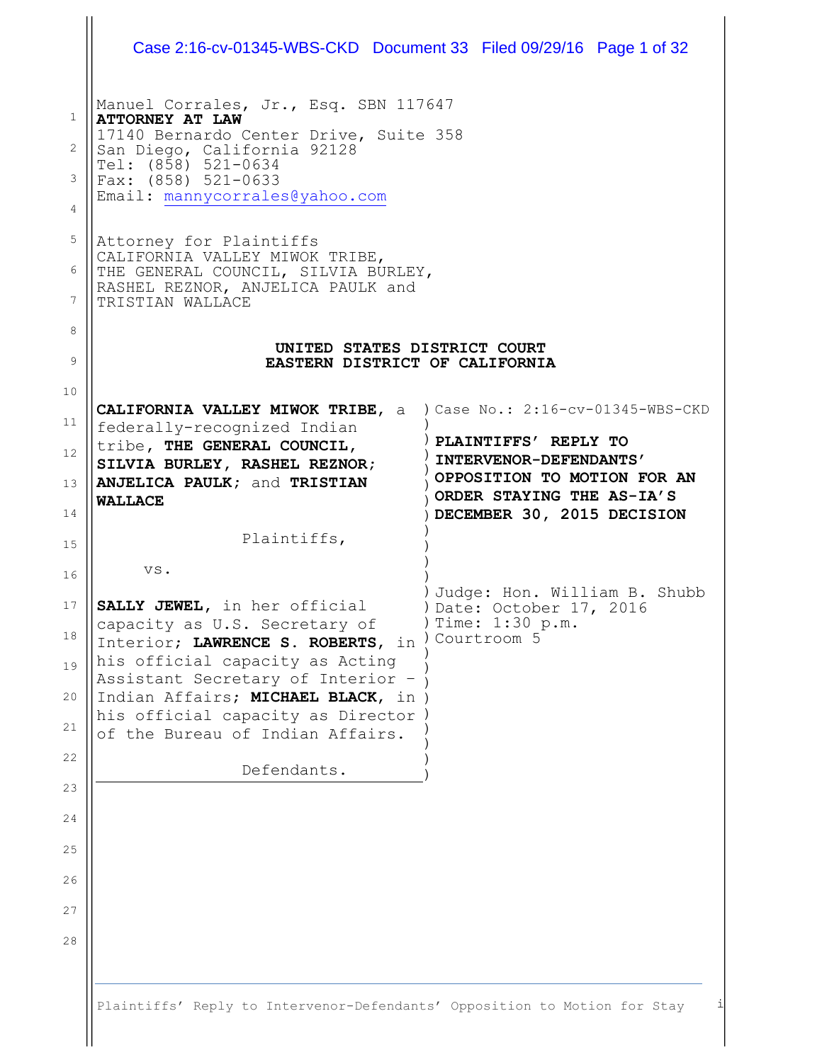|                                               | Case 2:16-cv-01345-WBS-CKD Document 33 Filed 09/29/16 Page 1 of 32                                                                                                                                                                                                                                               |                                                                                                                                                                               |
|-----------------------------------------------|------------------------------------------------------------------------------------------------------------------------------------------------------------------------------------------------------------------------------------------------------------------------------------------------------------------|-------------------------------------------------------------------------------------------------------------------------------------------------------------------------------|
| $\mathbf{1}$<br>$\overline{2}$<br>3<br>4<br>5 | Manuel Corrales, Jr., Esq. SBN 117647<br><b>ATTORNEY AT LAW</b><br>17140 Bernardo Center Drive, Suite 358<br>San Diego, California 92128<br>Tel: (858) 521-0634<br>Fax: (858) 521-0633<br>Email: mannycorrales@yahoo.com                                                                                         |                                                                                                                                                                               |
| 6<br>7                                        | Attorney for Plaintiffs<br>CALIFORNIA VALLEY MIWOK TRIBE,<br>THE GENERAL COUNCIL, SILVIA BURLEY,<br>RASHEL REZNOR, ANJELICA PAULK and<br>TRISTIAN WALLACE                                                                                                                                                        |                                                                                                                                                                               |
| 8<br>9                                        | UNITED STATES DISTRICT COURT<br>EASTERN DISTRICT OF CALIFORNIA                                                                                                                                                                                                                                                   |                                                                                                                                                                               |
| 10<br>11<br>12<br>13<br>14                    | <b>CALIFORNIA VALLEY MIWOK TRIBE, a</b><br>federally-recognized Indian<br>tribe, THE GENERAL COUNCIL,<br>SILVIA BURLEY, RASHEL REZNOR;<br>ANJELICA PAULK; and TRISTIAN<br><b>WALLACE</b>                                                                                                                         | ) Case No.: 2:16-cv-01345-WBS-CKD<br>PLAINTIFFS' REPLY TO<br>INTERVENOR-DEFENDANTS'<br>OPPOSITION TO MOTION FOR AN<br>ORDER STAYING THE AS-IA'S<br>DECEMBER 30, 2015 DECISION |
| 15                                            | Plaintiffs,                                                                                                                                                                                                                                                                                                      |                                                                                                                                                                               |
| 16<br>17<br>18<br>19<br>20<br>21<br>22        | VS.<br>SALLY JEWEL, in her official<br>capacity as U.S. Secretary of<br>Interior; LAWRENCE S. ROBERTS, in<br>his official capacity as Acting<br>Assistant Secretary of Interior -<br>Indian Affairs; MICHAEL BLACK, in<br>his official capacity as Director )<br>of the Bureau of Indian Affairs.<br>Defendants. | Judge: Hon. William B. Shubb<br>Date: October 17, 2016<br>Time: 1:30 p.m.<br>Courtroom 5                                                                                      |
| 23<br>24<br>25<br>26<br>27<br>28              |                                                                                                                                                                                                                                                                                                                  |                                                                                                                                                                               |
|                                               | Plaintiffs' Reply to Intervenor-Defendants' Opposition to Motion for Stay                                                                                                                                                                                                                                        | i                                                                                                                                                                             |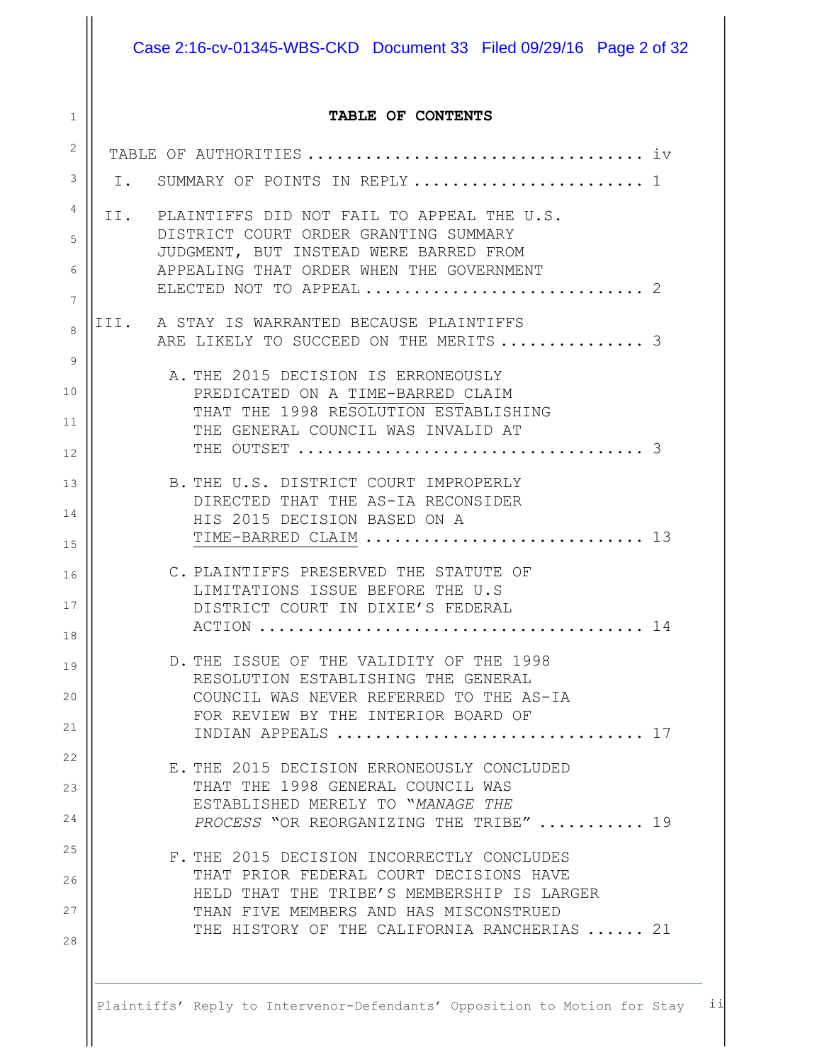Case 2:16-cv-01345-WBS-CKD Document 33 Filed 09/29/16 Page 2 of 32

#### **TABLE OF CONTENTS**

1

| 2  |  |                                                                                        |
|----|--|----------------------------------------------------------------------------------------|
| 3  |  | I. SUMMARY OF POINTS IN REPLY 1                                                        |
| 4  |  | II. PLAINTIFFS DID NOT FAIL TO APPEAL THE U.S.                                         |
| 5  |  | DISTRICT COURT ORDER GRANTING SUMMARY                                                  |
| 6  |  | JUDGMENT, BUT INSTEAD WERE BARRED FROM<br>APPEALING THAT ORDER WHEN THE GOVERNMENT     |
| 7  |  |                                                                                        |
| 8  |  | III. A STAY IS WARRANTED BECAUSE PLAINTIFFS                                            |
| 9  |  | ARE LIKELY TO SUCCEED ON THE MERITS  3                                                 |
| 10 |  | A. THE 2015 DECISION IS ERRONEOUSLY<br>PREDICATED ON A TIME-BARRED CLAIM               |
|    |  | THAT THE 1998 RESOLUTION ESTABLISHING                                                  |
| 11 |  | THE GENERAL COUNCIL WAS INVALID AT                                                     |
| 12 |  |                                                                                        |
| 13 |  | B. THE U.S. DISTRICT COURT IMPROPERLY                                                  |
| 14 |  | DIRECTED THAT THE AS-IA RECONSIDER                                                     |
|    |  | HIS 2015 DECISION BASED ON A<br>TIME-BARRED CLAIM  13                                  |
| 15 |  |                                                                                        |
| 16 |  | C. PLAINTIFFS PRESERVED THE STATUTE OF<br>LIMITATIONS ISSUE BEFORE THE U.S             |
| 17 |  | DISTRICT COURT IN DIXIE'S FEDERAL                                                      |
| 18 |  |                                                                                        |
| 19 |  | D. THE ISSUE OF THE VALIDITY OF THE 1998                                               |
|    |  | RESOLUTION ESTABLISHING THE GENERAL                                                    |
| 20 |  | COUNCIL WAS NEVER REFERRED TO THE AS-IA<br>FOR REVIEW BY THE INTERIOR BOARD OF         |
| 21 |  | 17<br>INDIAN APPEALS                                                                   |
| 22 |  | E. THE 2015 DECISION ERRONEOUSLY CONCLUDED                                             |
| 23 |  | THAT THE 1998 GENERAL COUNCIL WAS<br>ESTABLISHED MERELY TO "MANAGE THE                 |
| 24 |  | PROCESS "OR REORGANIZING THE TRIBE"  19                                                |
| 25 |  | F. THE 2015 DECISION INCORRECTLY CONCLUDES                                             |
| 26 |  | THAT PRIOR FEDERAL COURT DECISIONS HAVE                                                |
| 27 |  | HELD THAT THE TRIBE'S MEMBERSHIP IS LARGER                                             |
|    |  | THAN FIVE MEMBERS AND HAS MISCONSTRUED<br>THE HISTORY OF THE CALIFORNIA RANCHERIAS  21 |
| 28 |  |                                                                                        |
|    |  |                                                                                        |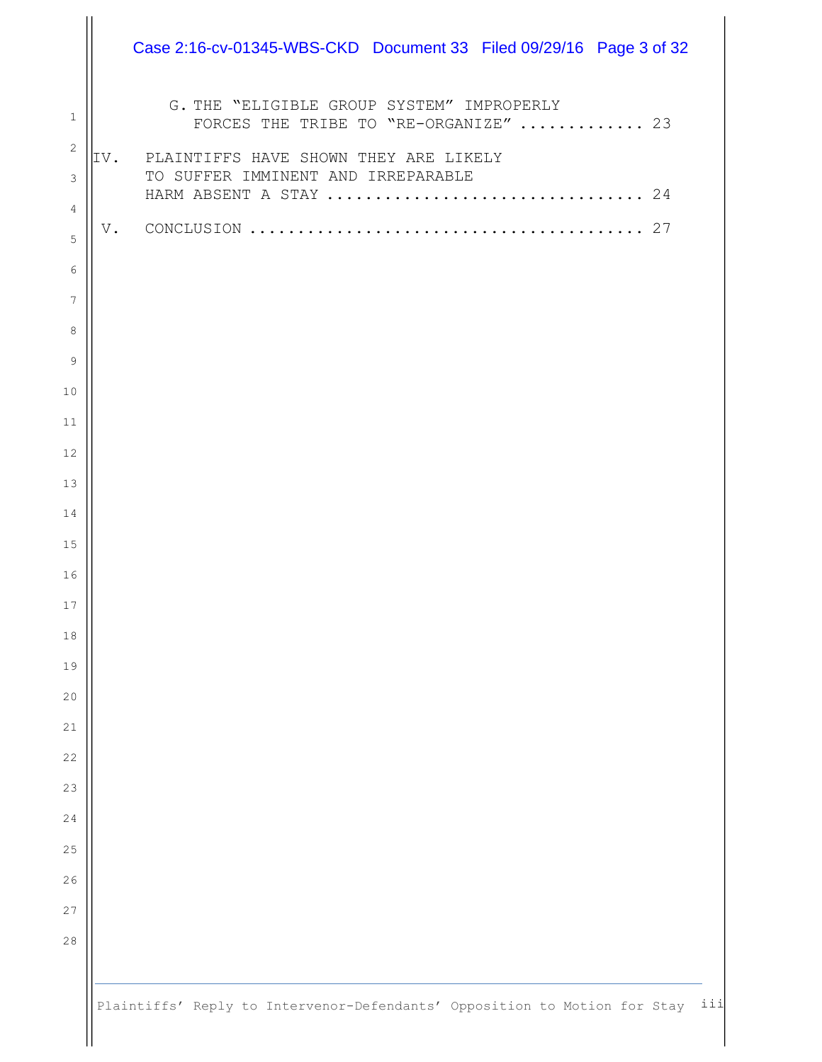|                              | Case 2:16-cv-01345-WBS-CKD Document 33 Filed 09/29/16 Page 3 of 32                 |  |
|------------------------------|------------------------------------------------------------------------------------|--|
| $\mathbf{1}$                 | G. THE "ELIGIBLE GROUP SYSTEM" IMPROPERLY<br>FORCES THE TRIBE TO "RE-ORGANIZE"  23 |  |
| $\sqrt{2}$<br>$\mathfrak{Z}$ | IV. PLAINTIFFS HAVE SHOWN THEY ARE LIKELY<br>TO SUFFER IMMINENT AND IRREPARABLE    |  |
| 4<br>5<br>6                  |                                                                                    |  |
| $7\phantom{.0}$              |                                                                                    |  |
| 8                            |                                                                                    |  |
| 9                            |                                                                                    |  |
| 10                           |                                                                                    |  |
| 11<br>12                     |                                                                                    |  |
| 13                           |                                                                                    |  |
| 14                           |                                                                                    |  |
| 15                           |                                                                                    |  |
| 16                           |                                                                                    |  |
| 17                           |                                                                                    |  |
| 18<br>19                     |                                                                                    |  |
| $20$                         |                                                                                    |  |
| 21                           |                                                                                    |  |
| 22                           |                                                                                    |  |
| 23                           |                                                                                    |  |
| 24                           |                                                                                    |  |
| 25                           |                                                                                    |  |
| 26<br>27                     |                                                                                    |  |
| $2\,8$                       |                                                                                    |  |
|                              |                                                                                    |  |
|                              | Plaintiffs' Reply to Intervenor-Defendants' Opposition to Motion for Stay ii       |  |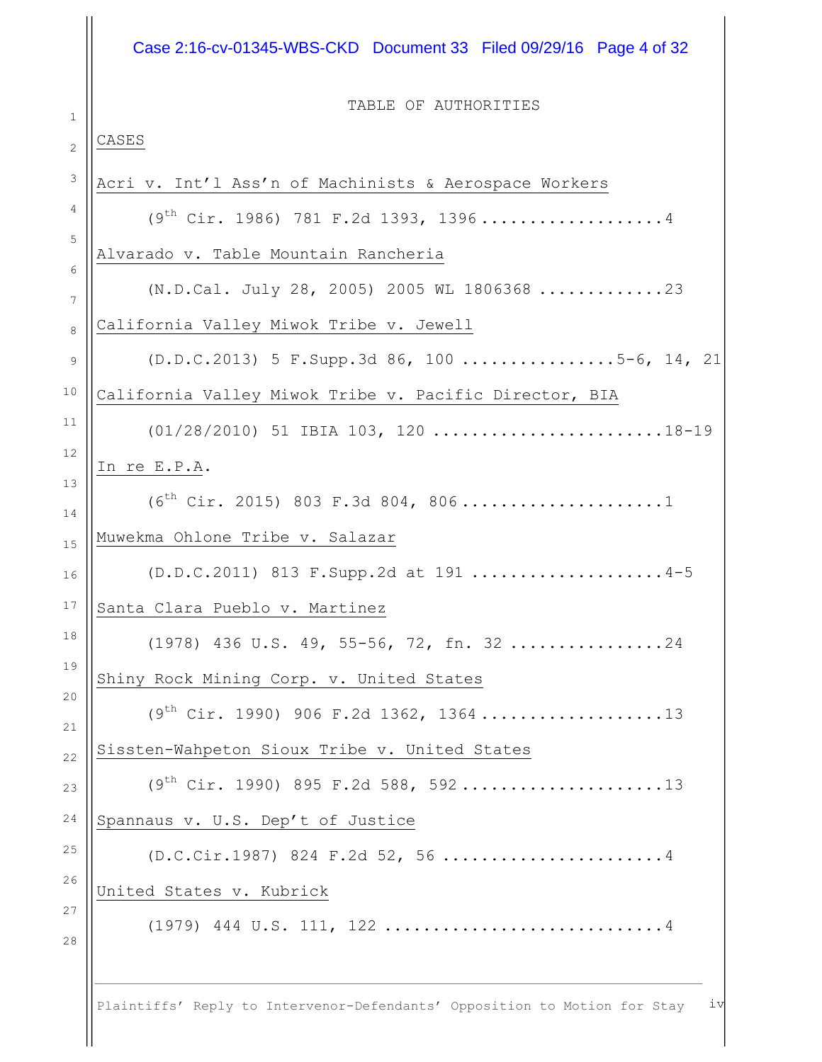# Case 2:16-cv-01345-WBS-CKD Document 33 Filed 09/29/16 Page 4 of 32

1

TABLE OF AUTHORITIES

| CASES                                                                           |
|---------------------------------------------------------------------------------|
| Acri v. Int'l Ass'n of Machinists & Aerospace Workers                           |
| $(9th Cir. 1986) 781 F.2d 1393, 1396 \ldots \ldots \ldots \ldots \ldots \ldots$ |
| Alvarado v. Table Mountain Rancheria                                            |
| (N.D.Cal. July 28, 2005) 2005 WL 1806368 23                                     |
| California Valley Miwok Tribe v. Jewell                                         |
| (D.D.C.2013) 5 F.Supp.3d 86, 100 5-6, 14, 21                                    |
| California Valley Miwok Tribe v. Pacific Director, BIA                          |
| $(01/28/2010)$ 51 IBIA 103, 120 18-19                                           |
| In re E.P.A.                                                                    |
| $(6th Cir. 2015) 803 F.3d 804, 806 \ldots \ldots \ldots \ldots 1$               |
| Muwekma Ohlone Tribe v. Salazar                                                 |
| (D.D.C.2011) 813 F.Supp.2d at 191 4-5                                           |
| Santa Clara Pueblo v. Martinez                                                  |
| $(1978)$ 436 U.S. 49, 55-56, 72, fn. 3224                                       |
| Shiny Rock Mining Corp. v. United States                                        |
| $(9th Cir. 1990)$ 906 F.2d 1362, 136413                                         |
| Sissten-Wahpeton Sioux Tribe v. United States                                   |
|                                                                                 |
| Spannaus v. U.S. Dep't of Justice                                               |
| $(D.C.Cir.1987) 824 F.2d 52, 56     4$                                          |
| United States v. Kubrick                                                        |
|                                                                                 |
|                                                                                 |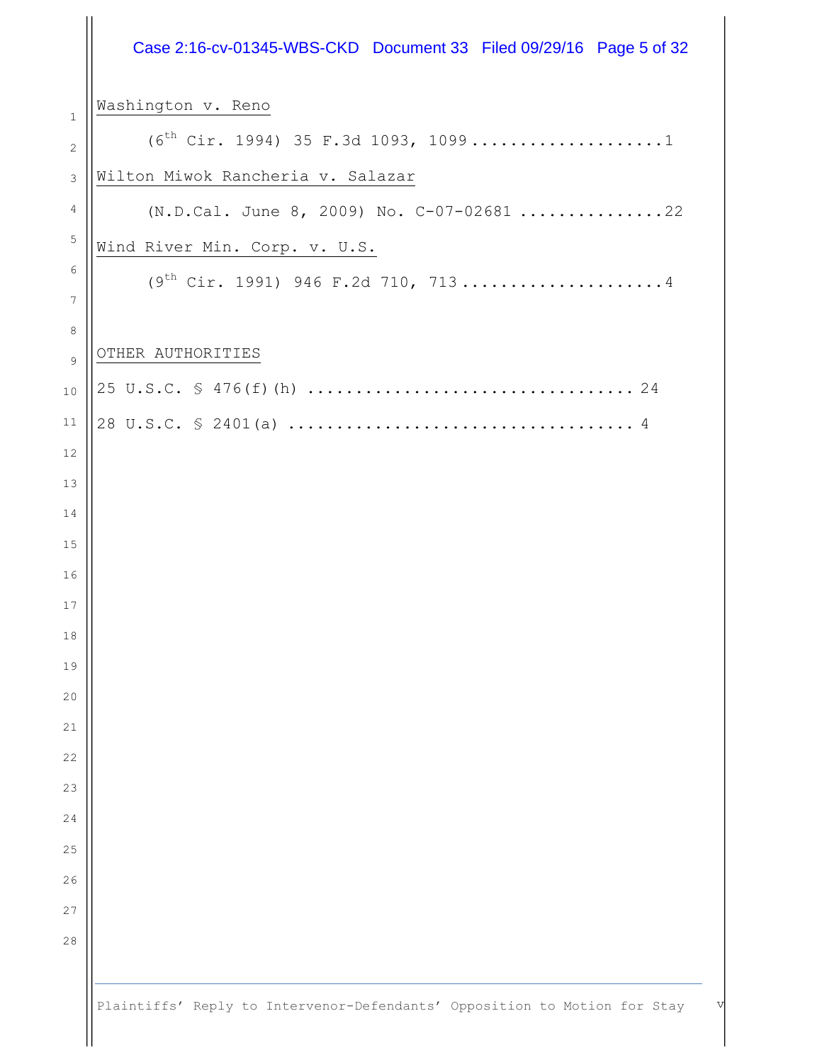|                 | Case 2:16-cv-01345-WBS-CKD Document 33 Filed 09/29/16 Page 5 of 32             |
|-----------------|--------------------------------------------------------------------------------|
| 1               | Washington v. Reno                                                             |
| $\mathbf{2}$    | $(6^{th}$ Cir. 1994) 35 F.3d 1093, 10991                                       |
| 3               | Wilton Miwok Rancheria v. Salazar                                              |
| 4               | (N.D.Cal. June 8, 2009) No. C-07-02681 22                                      |
| 5               | Wind River Min. Corp. v. U.S.                                                  |
| 6               | $(9th Cir. 1991) 946 F.2d 710, 7134$                                           |
| $7\phantom{.0}$ |                                                                                |
| 8               | OTHER AUTHORITIES                                                              |
| 9               |                                                                                |
| 10              |                                                                                |
| 11<br>12        |                                                                                |
| 13              |                                                                                |
| 14              |                                                                                |
| 15              |                                                                                |
| 16              |                                                                                |
| 17              |                                                                                |
| 18              |                                                                                |
| 19              |                                                                                |
| 20              |                                                                                |
| 21              |                                                                                |
| 22              |                                                                                |
| 23              |                                                                                |
| 24<br>25        |                                                                                |
| 26              |                                                                                |
| 27              |                                                                                |
| 28              |                                                                                |
|                 |                                                                                |
|                 | Plaintiffs' Reply to Intervenor-Defendants' Opposition to Motion for Stay<br>V |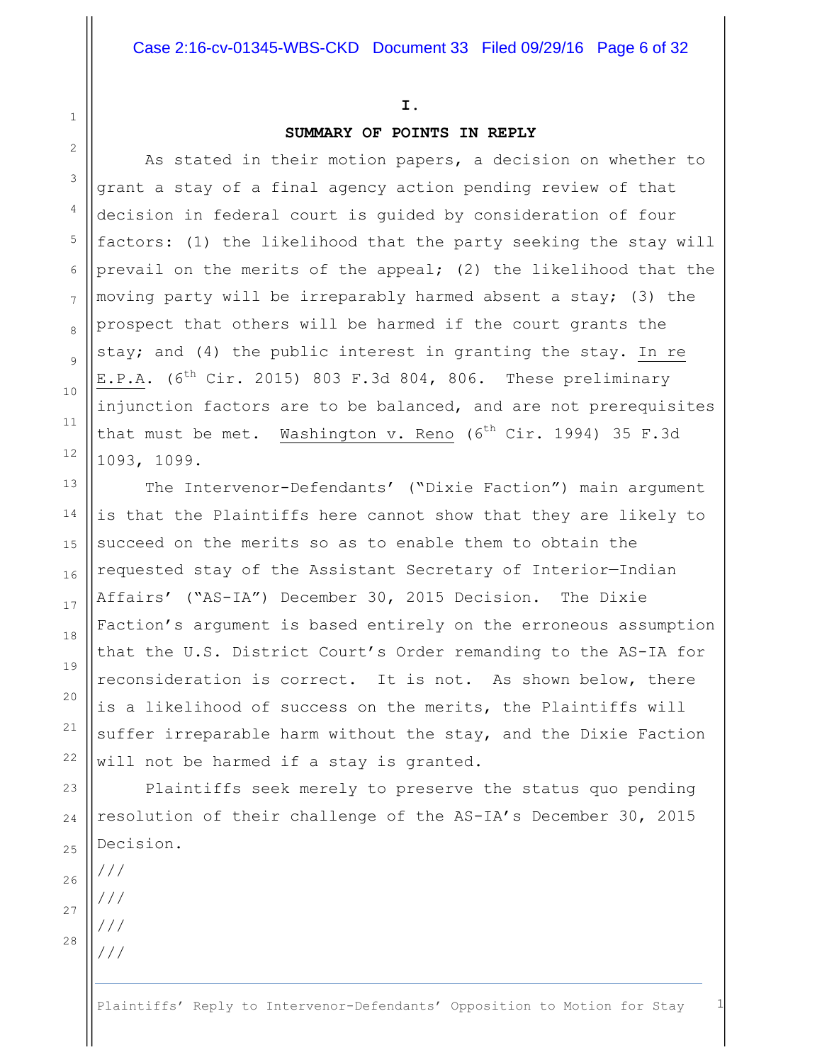#### **I.**

#### **SUMMARY OF POINTS IN REPLY**

As stated in their motion papers, a decision on whether to grant a stay of a final agency action pending review of that decision in federal court is guided by consideration of four factors: (1) the likelihood that the party seeking the stay will prevail on the merits of the appeal; (2) the likelihood that the moving party will be irreparably harmed absent a stay; (3) the prospect that others will be harmed if the court grants the stay; and (4) the public interest in granting the stay. In re E.P.A. ( $6^{th}$  Cir. 2015) 803 F.3d 804, 806. These preliminary injunction factors are to be balanced, and are not prerequisites that must be met. Washington v. Reno  $(6^{th}$  Cir. 1994) 35 F.3d 1093, 1099.

The Intervenor-Defendants' ("Dixie Faction") main argument is that the Plaintiffs here cannot show that they are likely to succeed on the merits so as to enable them to obtain the requested stay of the Assistant Secretary of Interior—Indian Affairs' ("AS-IA") December 30, 2015 Decision. The Dixie Faction's argument is based entirely on the erroneous assumption that the U.S. District Court's Order remanding to the AS-IA for reconsideration is correct. It is not. As shown below, there is a likelihood of success on the merits, the Plaintiffs will suffer irreparable harm without the stay, and the Dixie Faction will not be harmed if a stay is granted.

Plaintiffs seek merely to preserve the status quo pending resolution of their challenge of the AS-IA's December 30, 2015 Decision.

1

2

3

4

5

6

7

8

9

10

11

12

13

14

15

16

17

18

19

20

21

22

23

///

///

/// ///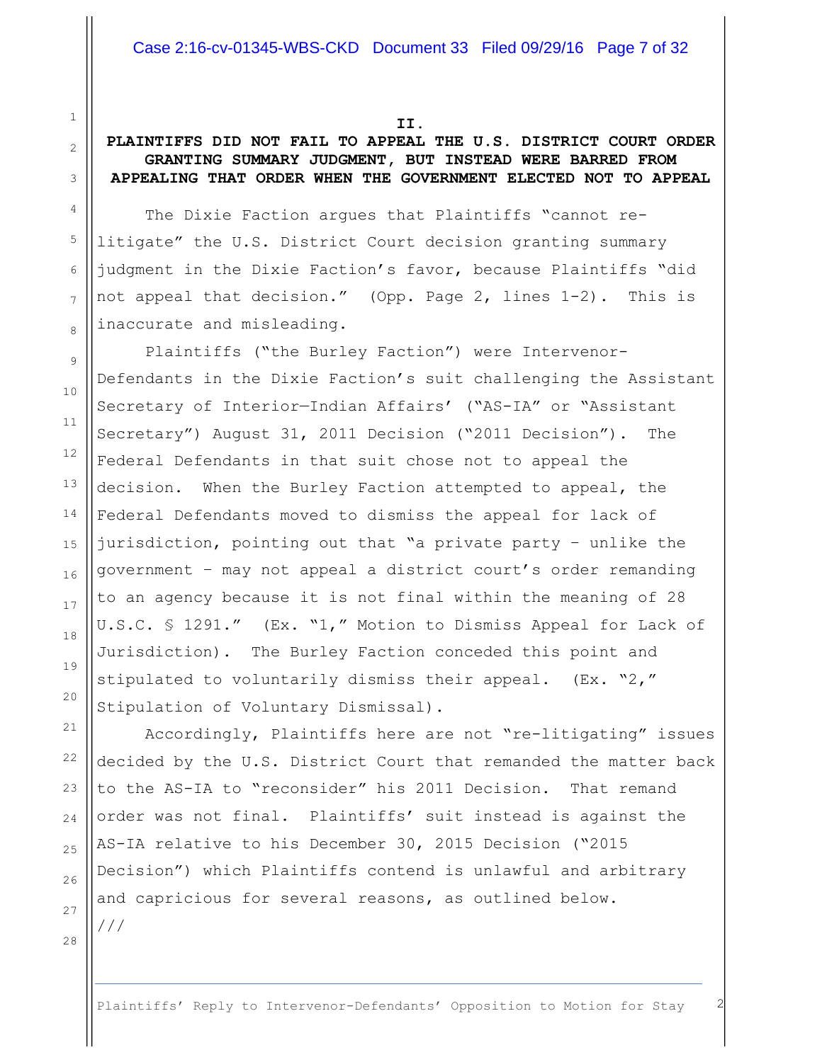**II.**

1

2

3

4

5

6

7

8

9

10

11

12

13

14

15

16

17

18

19

20

21

22

23

24

25

26

27

28

## **PLAINTIFFS DID NOT FAIL TO APPEAL THE U.S. DISTRICT COURT ORDER GRANTING SUMMARY JUDGMENT, BUT INSTEAD WERE BARRED FROM APPEALING THAT ORDER WHEN THE GOVERNMENT ELECTED NOT TO APPEAL**

The Dixie Faction argues that Plaintiffs "cannot relitigate" the U.S. District Court decision granting summary judgment in the Dixie Faction's favor, because Plaintiffs "did not appeal that decision." (Opp. Page 2, lines 1-2). This is inaccurate and misleading.

Plaintiffs ("the Burley Faction") were Intervenor-Defendants in the Dixie Faction's suit challenging the Assistant Secretary of Interior—Indian Affairs' ("AS-IA" or "Assistant Secretary") August 31, 2011 Decision ("2011 Decision"). The Federal Defendants in that suit chose not to appeal the decision. When the Burley Faction attempted to appeal, the Federal Defendants moved to dismiss the appeal for lack of jurisdiction, pointing out that "a private party – unlike the government – may not appeal a district court's order remanding to an agency because it is not final within the meaning of 28 U.S.C. § 1291." (Ex. "1," Motion to Dismiss Appeal for Lack of Jurisdiction). The Burley Faction conceded this point and stipulated to voluntarily dismiss their appeal. (Ex. "2," Stipulation of Voluntary Dismissal).

Accordingly, Plaintiffs here are not "re-litigating" issues decided by the U.S. District Court that remanded the matter back to the AS-IA to "reconsider" his 2011 Decision. That remand order was not final. Plaintiffs' suit instead is against the AS-IA relative to his December 30, 2015 Decision ("2015 Decision") which Plaintiffs contend is unlawful and arbitrary and capricious for several reasons, as outlined below. ///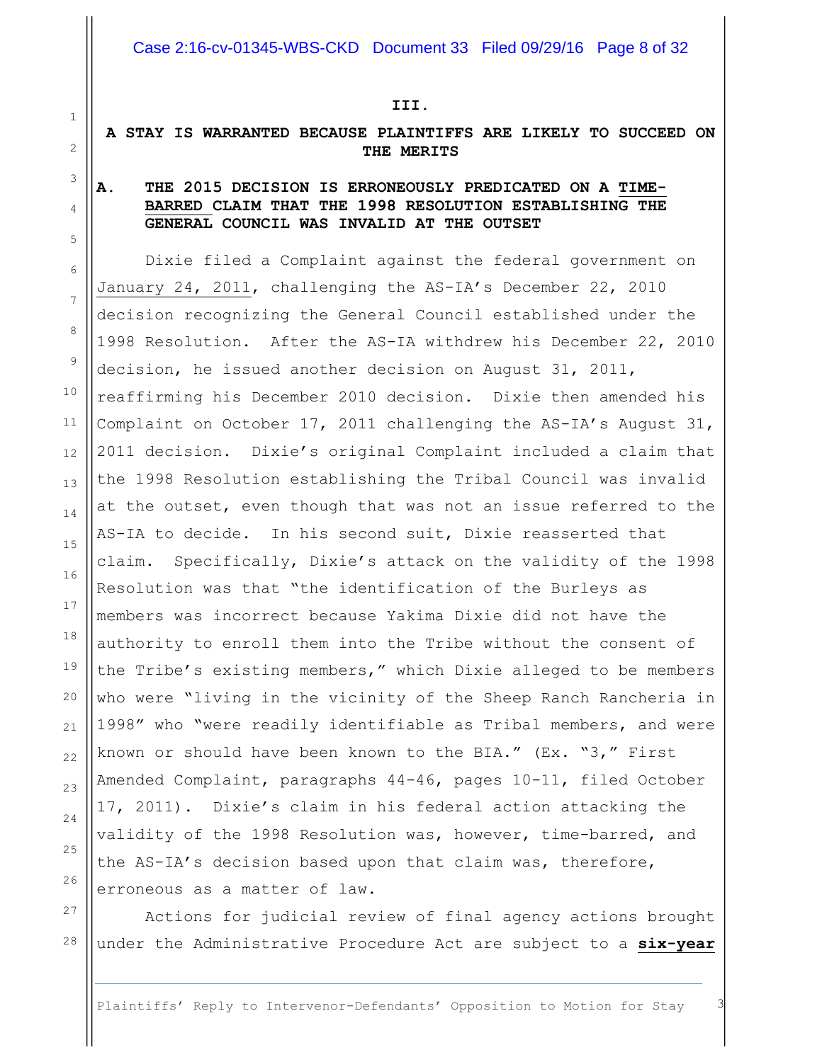#### **III.**

## **A STAY IS WARRANTED BECAUSE PLAINTIFFS ARE LIKELY TO SUCCEED ON THE MERITS**

## **A. THE 2015 DECISION IS ERRONEOUSLY PREDICATED ON A TIME-BARRED CLAIM THAT THE 1998 RESOLUTION ESTABLISHING THE GENERAL COUNCIL WAS INVALID AT THE OUTSET**

Dixie filed a Complaint against the federal government on January 24, 2011, challenging the AS-IA's December 22, 2010 decision recognizing the General Council established under the 1998 Resolution. After the AS-IA withdrew his December 22, 2010 decision, he issued another decision on August 31, 2011, reaffirming his December 2010 decision. Dixie then amended his Complaint on October 17, 2011 challenging the AS-IA's August 31, 2011 decision. Dixie's original Complaint included a claim that the 1998 Resolution establishing the Tribal Council was invalid at the outset, even though that was not an issue referred to the AS-IA to decide. In his second suit, Dixie reasserted that claim. Specifically, Dixie's attack on the validity of the 1998 Resolution was that "the identification of the Burleys as members was incorrect because Yakima Dixie did not have the authority to enroll them into the Tribe without the consent of the Tribe's existing members," which Dixie alleged to be members who were "living in the vicinity of the Sheep Ranch Rancheria in 1998" who "were readily identifiable as Tribal members, and were known or should have been known to the BIA." (Ex. "3," First Amended Complaint, paragraphs 44-46, pages 10-11, filed October 17, 2011). Dixie's claim in his federal action attacking the validity of the 1998 Resolution was, however, time-barred, and the AS-IA's decision based upon that claim was, therefore, erroneous as a matter of law.

Actions for judicial review of final agency actions brought under the Administrative Procedure Act are subject to a **six-year**

Plaintiffs' Reply to Intervenor-Defendants' Opposition to Motion for Stay 3

1 2 3

4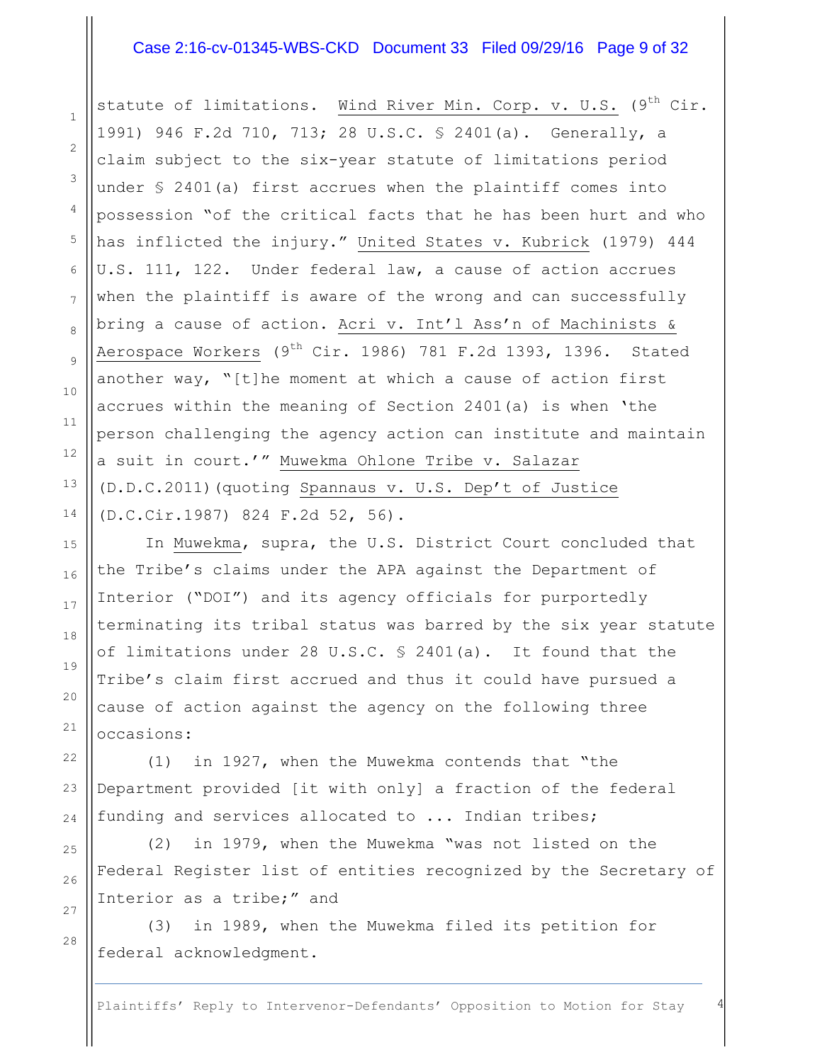#### Case 2:16-cv-01345-WBS-CKD Document 33 Filed 09/29/16 Page 9 of 32

statute of limitations. Wind River Min. Corp. v. U.S.  $(9^{th}$  Cir. 1991) 946 F.2d 710, 713; 28 U.S.C. § 2401(a). Generally, a claim subject to the six-year statute of limitations period under § 2401(a) first accrues when the plaintiff comes into possession "of the critical facts that he has been hurt and who has inflicted the injury." United States v. Kubrick (1979) 444 U.S. 111, 122. Under federal law, a cause of action accrues when the plaintiff is aware of the wrong and can successfully bring a cause of action. Acri v. Int'l Ass'n of Machinists & Aerospace Workers  $(9^{th}$  Cir. 1986) 781 F.2d 1393, 1396. Stated another way, "[t]he moment at which a cause of action first accrues within the meaning of Section 2401(a) is when 'the person challenging the agency action can institute and maintain a suit in court.'" Muwekma Ohlone Tribe v. Salazar (D.D.C.2011)(quoting Spannaus v. U.S. Dep't of Justice (D.C.Cir.1987) 824 F.2d 52, 56).

In Muwekma, supra, the U.S. District Court concluded that the Tribe's claims under the APA against the Department of Interior ("DOI") and its agency officials for purportedly terminating its tribal status was barred by the six year statute of limitations under 28 U.S.C. § 2401(a). It found that the Tribe's claim first accrued and thus it could have pursued a cause of action against the agency on the following three occasions:

(1) in 1927, when the Muwekma contends that "the Department provided [it with only] a fraction of the federal funding and services allocated to ... Indian tribes;

(2) in 1979, when the Muwekma "was not listed on the Federal Register list of entities recognized by the Secretary of Interior as a tribe;" and

(3) in 1989, when the Muwekma filed its petition for federal acknowledgment.

Plaintiffs' Reply to Intervenor-Defendants' Opposition to Motion for Stay 4

1

2

3

4

5

6

7

8

9

10

11

12

13

14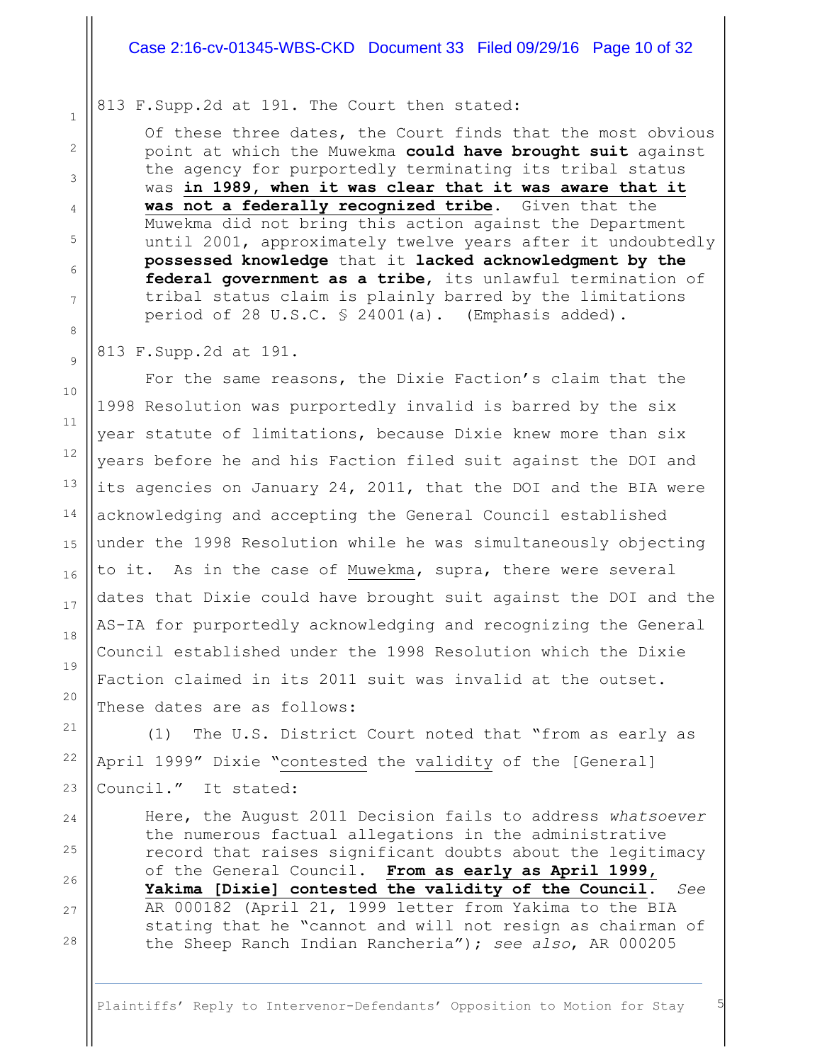#### Case 2:16-cv-01345-WBS-CKD Document 33 Filed 09/29/16 Page 10 of 32

#### 813 F.Supp.2d at 191. The Court then stated:

Of these three dates, the Court finds that the most obvious point at which the Muwekma **could have brought suit** against the agency for purportedly terminating its tribal status was **in 1989, when it was clear that it was aware that it was not a federally recognized tribe**. Given that the Muwekma did not bring this action against the Department until 2001, approximately twelve years after it undoubtedly **possessed knowledge** that it **lacked acknowledgment by the federal government as a tribe**, its unlawful termination of tribal status claim is plainly barred by the limitations period of 28 U.S.C. § 24001(a). (Emphasis added).

#### 813 F.Supp.2d at 191.

For the same reasons, the Dixie Faction's claim that the 1998 Resolution was purportedly invalid is barred by the six year statute of limitations, because Dixie knew more than six years before he and his Faction filed suit against the DOI and its agencies on January 24, 2011, that the DOI and the BIA were acknowledging and accepting the General Council established under the 1998 Resolution while he was simultaneously objecting to it. As in the case of Muwekma, supra, there were several dates that Dixie could have brought suit against the DOI and the AS-IA for purportedly acknowledging and recognizing the General Council established under the 1998 Resolution which the Dixie Faction claimed in its 2011 suit was invalid at the outset. These dates are as follows:

(1) The U.S. District Court noted that "from as early as April 1999" Dixie "contested the validity of the [General] Council." It stated:

Here, the August 2011 Decision fails to address *whatsoever* the numerous factual allegations in the administrative record that raises significant doubts about the legitimacy of the General Council. **From as early as April 1999, Yakima [Dixie] contested the validity of the Council**. *See* AR 000182 (April 21, 1999 letter from Yakima to the BIA stating that he "cannot and will not resign as chairman of the Sheep Ranch Indian Rancheria"); *see also*, AR 000205

Plaintiffs' Reply to Intervenor-Defendants' Opposition to Motion for Stay

1

28

25

26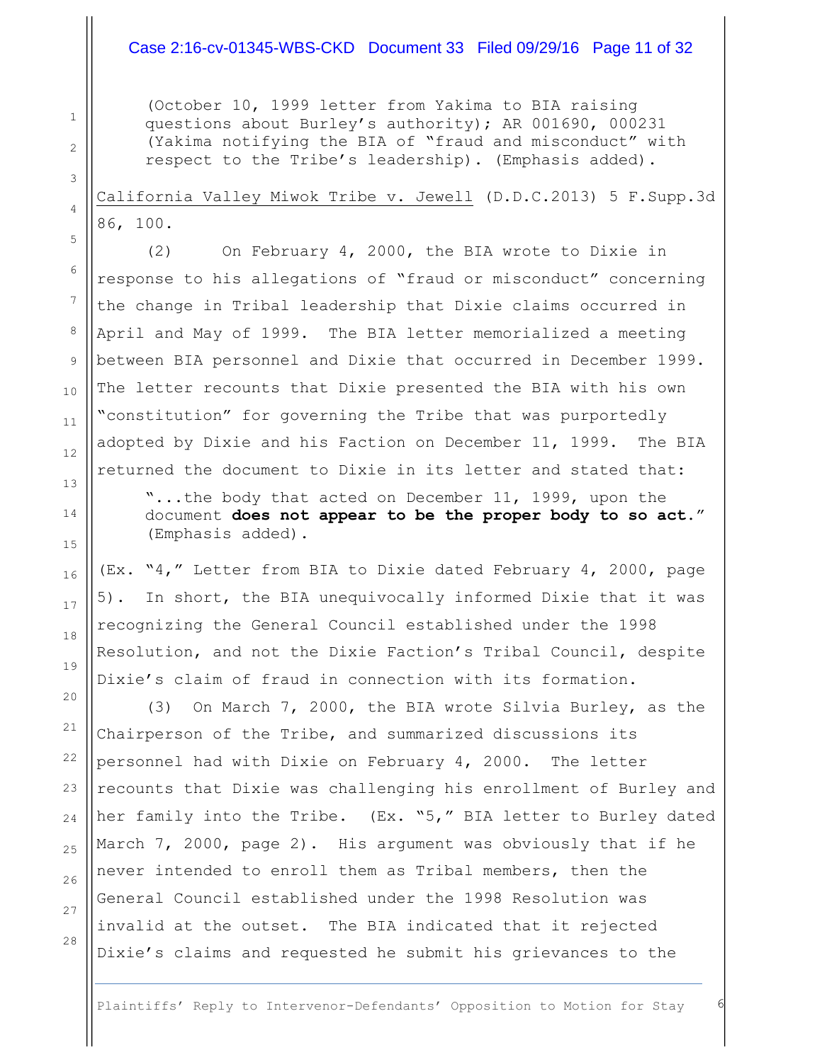### Case 2:16-cv-01345-WBS-CKD Document 33 Filed 09/29/16 Page 11 of 32

(October 10, 1999 letter from Yakima to BIA raising questions about Burley's authority); AR 001690, 000231 (Yakima notifying the BIA of "fraud and misconduct" with respect to the Tribe's leadership). (Emphasis added).

California Valley Miwok Tribe v. Jewell (D.D.C.2013) 5 F.Supp.3d 86, 100.

(2) On February 4, 2000, the BIA wrote to Dixie in response to his allegations of "fraud or misconduct" concerning the change in Tribal leadership that Dixie claims occurred in April and May of 1999. The BIA letter memorialized a meeting between BIA personnel and Dixie that occurred in December 1999. The letter recounts that Dixie presented the BIA with his own "constitution" for governing the Tribe that was purportedly adopted by Dixie and his Faction on December 11, 1999. The BIA returned the document to Dixie in its letter and stated that:

"...the body that acted on December 11, 1999, upon the document **does not appear to be the proper body to so act**." (Emphasis added).

(Ex. "4," Letter from BIA to Dixie dated February 4, 2000, page 5). In short, the BIA unequivocally informed Dixie that it was recognizing the General Council established under the 1998 Resolution, and not the Dixie Faction's Tribal Council, despite Dixie's claim of fraud in connection with its formation.

(3) On March 7, 2000, the BIA wrote Silvia Burley, as the Chairperson of the Tribe, and summarized discussions its personnel had with Dixie on February 4, 2000. The letter recounts that Dixie was challenging his enrollment of Burley and her family into the Tribe. (Ex. "5," BIA letter to Burley dated March 7, 2000, page 2). His argument was obviously that if he never intended to enroll them as Tribal members, then the General Council established under the 1998 Resolution was invalid at the outset. The BIA indicated that it rejected Dixie's claims and requested he submit his grievances to the

1

2

3

4

5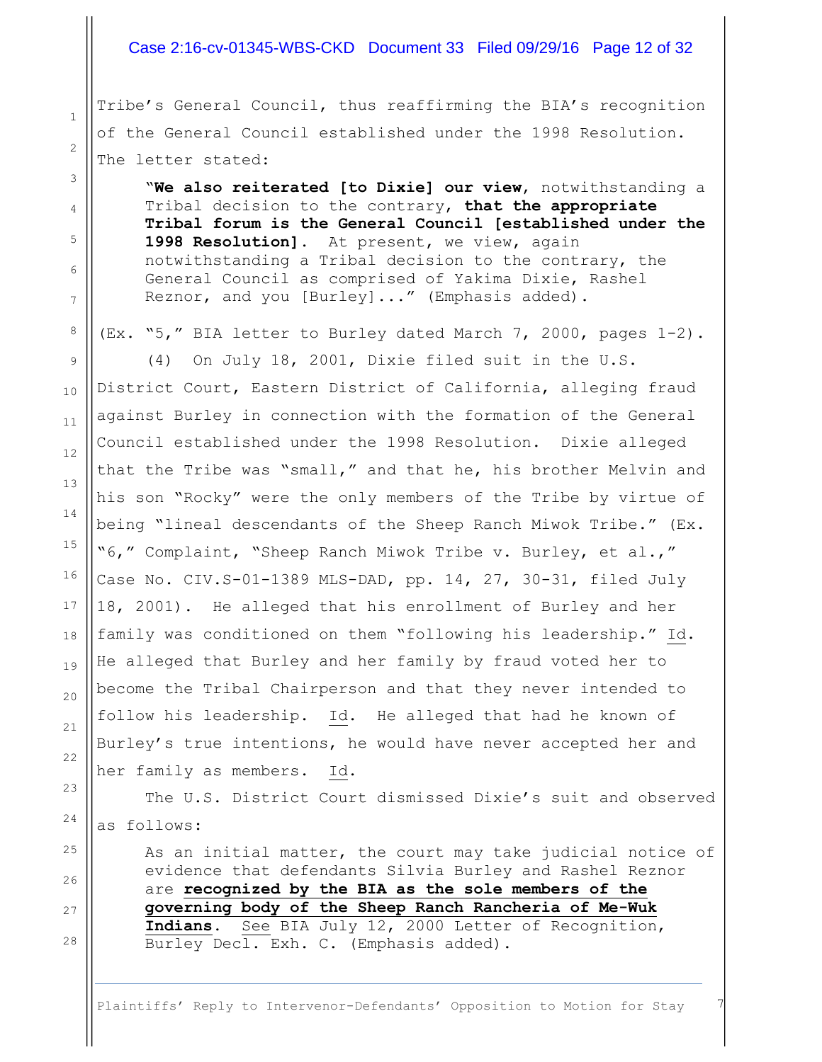#### Case 2:16-cv-01345-WBS-CKD Document 33 Filed 09/29/16 Page 12 of 32

Tribe's General Council, thus reaffirming the BIA's recognition of the General Council established under the 1998 Resolution. The letter stated:

1

2

3

4

5

6

7

8

9

10

11

12

13

14

15

16

17

18

19

20

21

22

23

24

25

26

27

28

"**We also reiterated [to Dixie] our view**, notwithstanding a Tribal decision to the contrary, **that the appropriate Tribal forum is the General Council [established under the 1998 Resolution]**. At present, we view, again notwithstanding a Tribal decision to the contrary, the General Council as comprised of Yakima Dixie, Rashel Reznor, and you [Burley]..." (Emphasis added).

(Ex. "5," BIA letter to Burley dated March 7, 2000, pages 1-2).

(4) On July 18, 2001, Dixie filed suit in the U.S. District Court, Eastern District of California, alleging fraud against Burley in connection with the formation of the General Council established under the 1998 Resolution. Dixie alleged that the Tribe was "small," and that he, his brother Melvin and his son "Rocky" were the only members of the Tribe by virtue of being "lineal descendants of the Sheep Ranch Miwok Tribe." (Ex. "6," Complaint, "Sheep Ranch Miwok Tribe v. Burley, et al.," Case No. CIV.S-01-1389 MLS-DAD, pp. 14, 27, 30-31, filed July 18, 2001). He alleged that his enrollment of Burley and her family was conditioned on them "following his leadership." Id. He alleged that Burley and her family by fraud voted her to become the Tribal Chairperson and that they never intended to follow his leadership. Id. He alleged that had he known of Burley's true intentions, he would have never accepted her and her family as members. Id.

The U.S. District Court dismissed Dixie's suit and observed as follows:

As an initial matter, the court may take judicial notice of evidence that defendants Silvia Burley and Rashel Reznor are **recognized by the BIA as the sole members of the governing body of the Sheep Ranch Rancheria of Me-Wuk Indians**. See BIA July 12, 2000 Letter of Recognition, Burley Decl. Exh. C. (Emphasis added).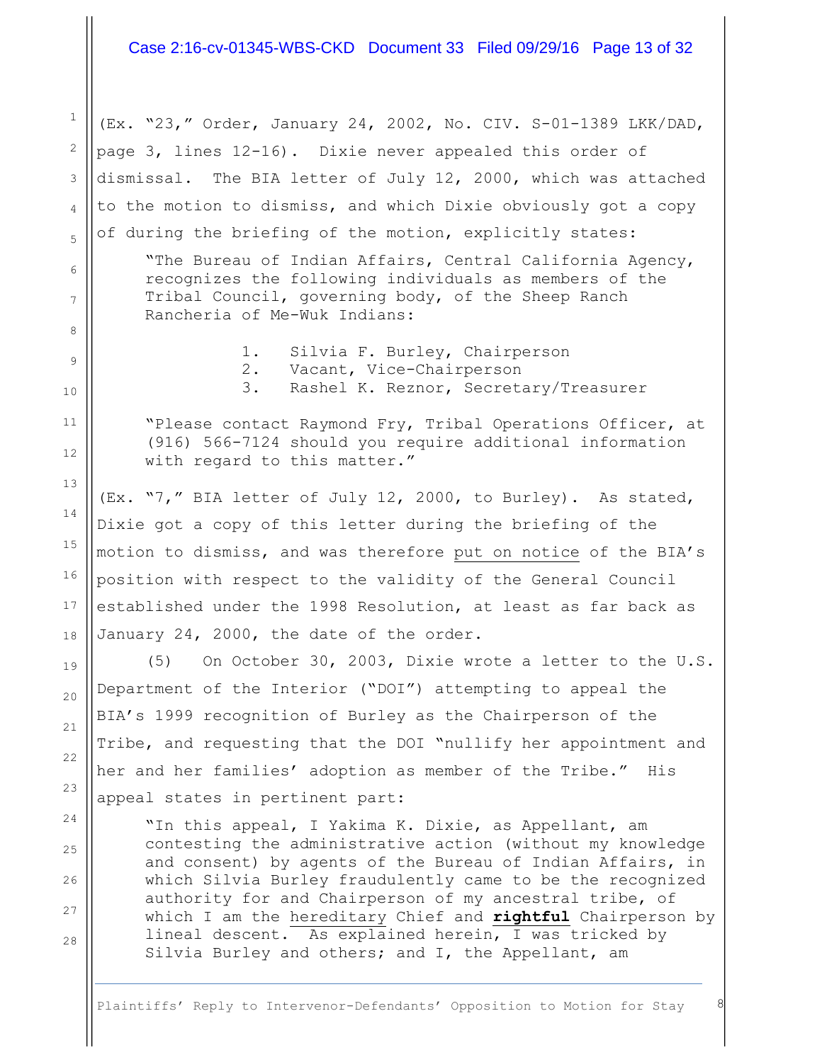#### Case 2:16-cv-01345-WBS-CKD Document 33 Filed 09/29/16 Page 13 of 32

(Ex. "23," Order, January 24, 2002, No. CIV. S-01-1389 LKK/DAD, page 3, lines 12-16). Dixie never appealed this order of dismissal. The BIA letter of July 12, 2000, which was attached to the motion to dismiss, and which Dixie obviously got a copy of during the briefing of the motion, explicitly states:

1

2

3

4

5

6

7

8

9

10

11

12

13

14

15

16

17

18

19

20

21

22

23

24

25

26

27

28

"The Bureau of Indian Affairs, Central California Agency, recognizes the following individuals as members of the Tribal Council, governing body, of the Sheep Ranch Rancheria of Me-Wuk Indians:

1. Silvia F. Burley, Chairperson

- 2. Vacant, Vice-Chairperson
- 3. Rashel K. Reznor, Secretary/Treasurer

"Please contact Raymond Fry, Tribal Operations Officer, at (916) 566-7124 should you require additional information with regard to this matter."

(Ex. "7," BIA letter of July 12, 2000, to Burley). As stated, Dixie got a copy of this letter during the briefing of the motion to dismiss, and was therefore put on notice of the BIA's position with respect to the validity of the General Council established under the 1998 Resolution, at least as far back as January 24, 2000, the date of the order.

(5) On October 30, 2003, Dixie wrote a letter to the U.S. Department of the Interior ("DOI") attempting to appeal the BIA's 1999 recognition of Burley as the Chairperson of the Tribe, and requesting that the DOI "nullify her appointment and her and her families' adoption as member of the Tribe." His appeal states in pertinent part:

"In this appeal, I Yakima K. Dixie, as Appellant, am contesting the administrative action (without my knowledge and consent) by agents of the Bureau of Indian Affairs, in which Silvia Burley fraudulently came to be the recognized authority for and Chairperson of my ancestral tribe, of which I am the hereditary Chief and **rightful** Chairperson by lineal descent. As explained herein, I was tricked by Silvia Burley and others; and I, the Appellant, am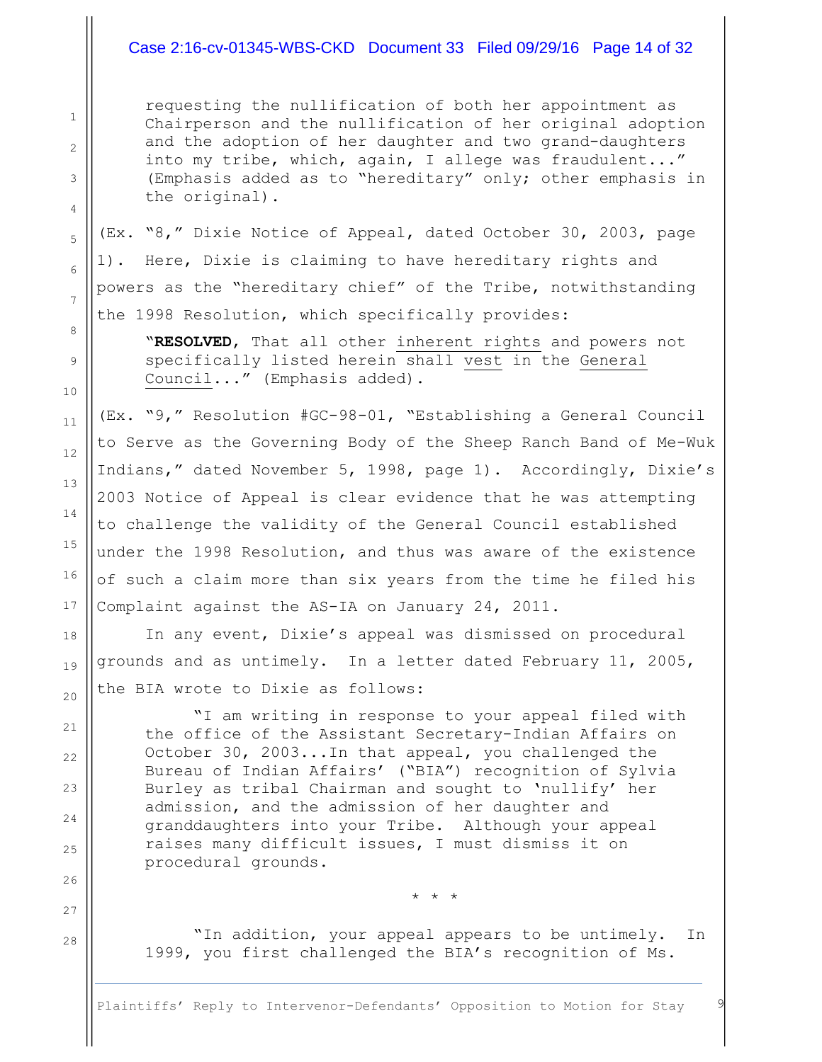#### Case 2:16-cv-01345-WBS-CKD Document 33 Filed 09/29/16 Page 14 of 32

1

2

3

4

5

6

7

8

9

10

11

12

13

14

15

16

17

18

19

20

21

22

23

24

25

26

27

28

requesting the nullification of both her appointment as Chairperson and the nullification of her original adoption and the adoption of her daughter and two grand-daughters into my tribe, which, again, I allege was fraudulent..." (Emphasis added as to "hereditary" only; other emphasis in the original).

(Ex. "8," Dixie Notice of Appeal, dated October 30, 2003, page 1). Here, Dixie is claiming to have hereditary rights and powers as the "hereditary chief" of the Tribe, notwithstanding the 1998 Resolution, which specifically provides:

"**RESOLVED**, That all other inherent rights and powers not specifically listed herein shall vest in the General Council..." (Emphasis added).

(Ex. "9," Resolution #GC-98-01, "Establishing a General Council to Serve as the Governing Body of the Sheep Ranch Band of Me-Wuk Indians," dated November 5, 1998, page 1). Accordingly, Dixie's 2003 Notice of Appeal is clear evidence that he was attempting to challenge the validity of the General Council established under the 1998 Resolution, and thus was aware of the existence of such a claim more than six years from the time he filed his Complaint against the AS-IA on January 24, 2011.

In any event, Dixie's appeal was dismissed on procedural grounds and as untimely. In a letter dated February 11, 2005, the BIA wrote to Dixie as follows:

"I am writing in response to your appeal filed with the office of the Assistant Secretary-Indian Affairs on October 30, 2003...In that appeal, you challenged the Bureau of Indian Affairs' ("BIA") recognition of Sylvia Burley as tribal Chairman and sought to 'nullify' her admission, and the admission of her daughter and granddaughters into your Tribe. Although your appeal raises many difficult issues, I must dismiss it on procedural grounds.

\* \* \*

"In addition, your appeal appears to be untimely. In 1999, you first challenged the BIA's recognition of Ms.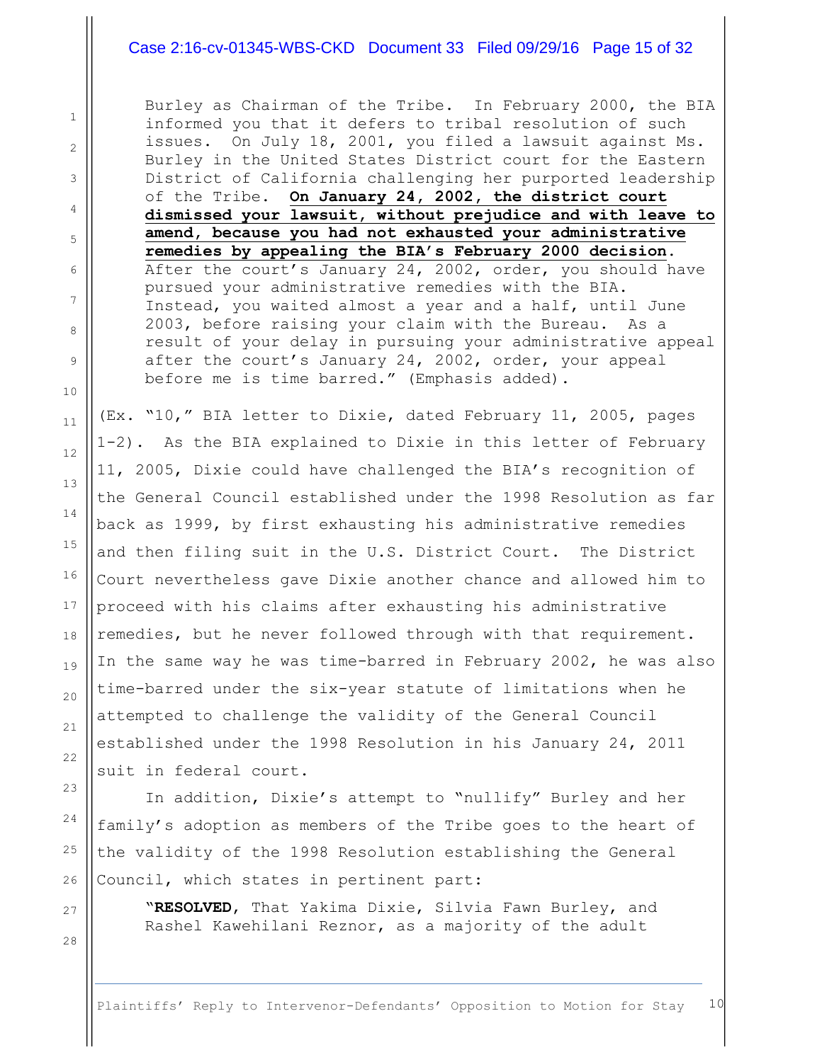## Case 2:16-cv-01345-WBS-CKD Document 33 Filed 09/29/16 Page 15 of 32

Burley as Chairman of the Tribe. In February 2000, the BIA informed you that it defers to tribal resolution of such issues. On July 18, 2001, you filed a lawsuit against Ms. Burley in the United States District court for the Eastern District of California challenging her purported leadership of the Tribe. **On January 24, 2002, the district court dismissed your lawsuit, without prejudice and with leave to amend, because you had not exhausted your administrative remedies by appealing the BIA's February 2000 decision**. After the court's January 24, 2002, order, you should have pursued your administrative remedies with the BIA. Instead, you waited almost a year and a half, until June 2003, before raising your claim with the Bureau. As a result of your delay in pursuing your administrative appeal after the court's January 24, 2002, order, your appeal before me is time barred." (Emphasis added).

(Ex. "10," BIA letter to Dixie, dated February 11, 2005, pages 1-2). As the BIA explained to Dixie in this letter of February 11, 2005, Dixie could have challenged the BIA's recognition of the General Council established under the 1998 Resolution as far back as 1999, by first exhausting his administrative remedies and then filing suit in the U.S. District Court. The District Court nevertheless gave Dixie another chance and allowed him to proceed with his claims after exhausting his administrative remedies, but he never followed through with that requirement. In the same way he was time-barred in February 2002, he was also time-barred under the six-year statute of limitations when he attempted to challenge the validity of the General Council established under the 1998 Resolution in his January 24, 2011 suit in federal court.

In addition, Dixie's attempt to "nullify" Burley and her family's adoption as members of the Tribe goes to the heart of the validity of the 1998 Resolution establishing the General Council, which states in pertinent part:

"**RESOLVED**, That Yakima Dixie, Silvia Fawn Burley, and Rashel Kawehilani Reznor, as a majority of the adult

Plaintiffs' Reply to Intervenor-Defendants' Opposition to Motion for Stay 10

27

28

1

2

3

4

5

6

7

8

9

10

11

12

13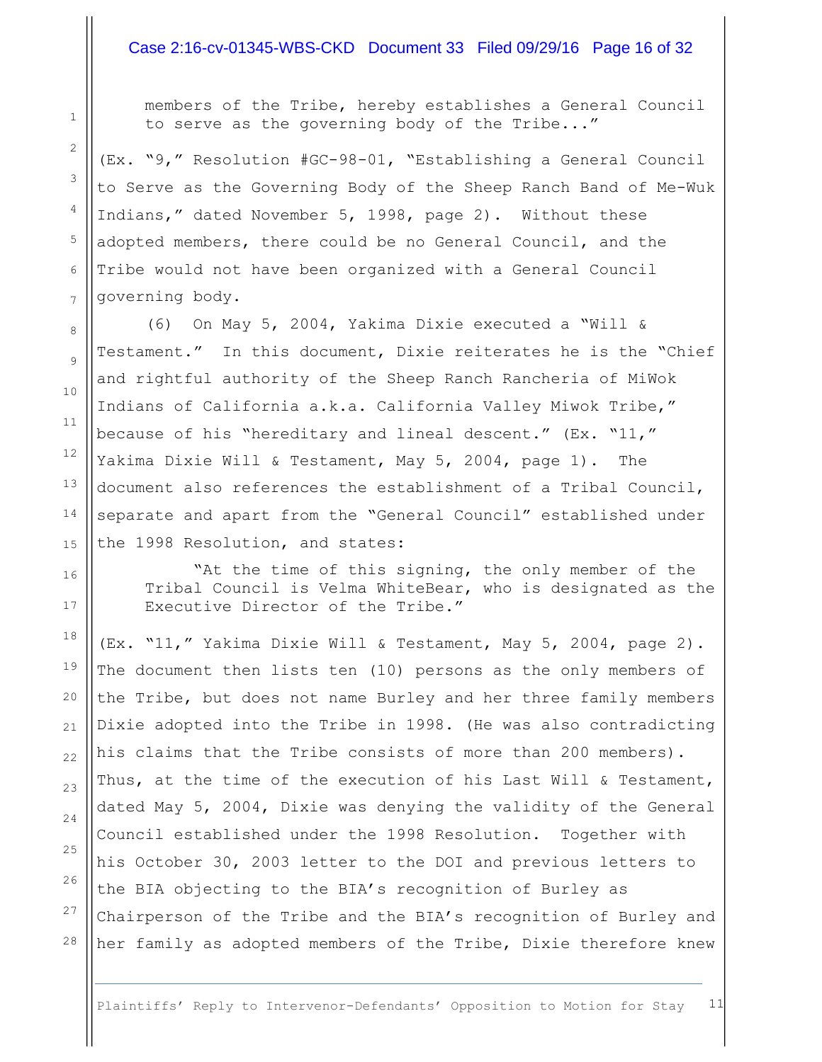#### Case 2:16-cv-01345-WBS-CKD Document 33 Filed 09/29/16 Page 16 of 32

members of the Tribe, hereby establishes a General Council to serve as the governing body of the Tribe..."

(Ex. "9," Resolution #GC-98-01, "Establishing a General Council to Serve as the Governing Body of the Sheep Ranch Band of Me-Wuk Indians," dated November 5, 1998, page 2). Without these adopted members, there could be no General Council, and the Tribe would not have been organized with a General Council governing body.

(6) On May 5, 2004, Yakima Dixie executed a "Will & Testament." In this document, Dixie reiterates he is the "Chief and rightful authority of the Sheep Ranch Rancheria of MiWok Indians of California a.k.a. California Valley Miwok Tribe," because of his "hereditary and lineal descent." (Ex. "11," Yakima Dixie Will & Testament, May 5, 2004, page 1). The document also references the establishment of a Tribal Council, separate and apart from the "General Council" established under the 1998 Resolution, and states:

"At the time of this signing, the only member of the Tribal Council is Velma WhiteBear, who is designated as the Executive Director of the Tribe."

(Ex. "11," Yakima Dixie Will & Testament, May 5, 2004, page 2). The document then lists ten (10) persons as the only members of the Tribe, but does not name Burley and her three family members Dixie adopted into the Tribe in 1998. (He was also contradicting his claims that the Tribe consists of more than 200 members). Thus, at the time of the execution of his Last Will & Testament, dated May 5, 2004, Dixie was denying the validity of the General Council established under the 1998 Resolution. Together with his October 30, 2003 letter to the DOI and previous letters to the BIA objecting to the BIA's recognition of Burley as Chairperson of the Tribe and the BIA's recognition of Burley and her family as adopted members of the Tribe, Dixie therefore knew

21

22

23

24

25

26

27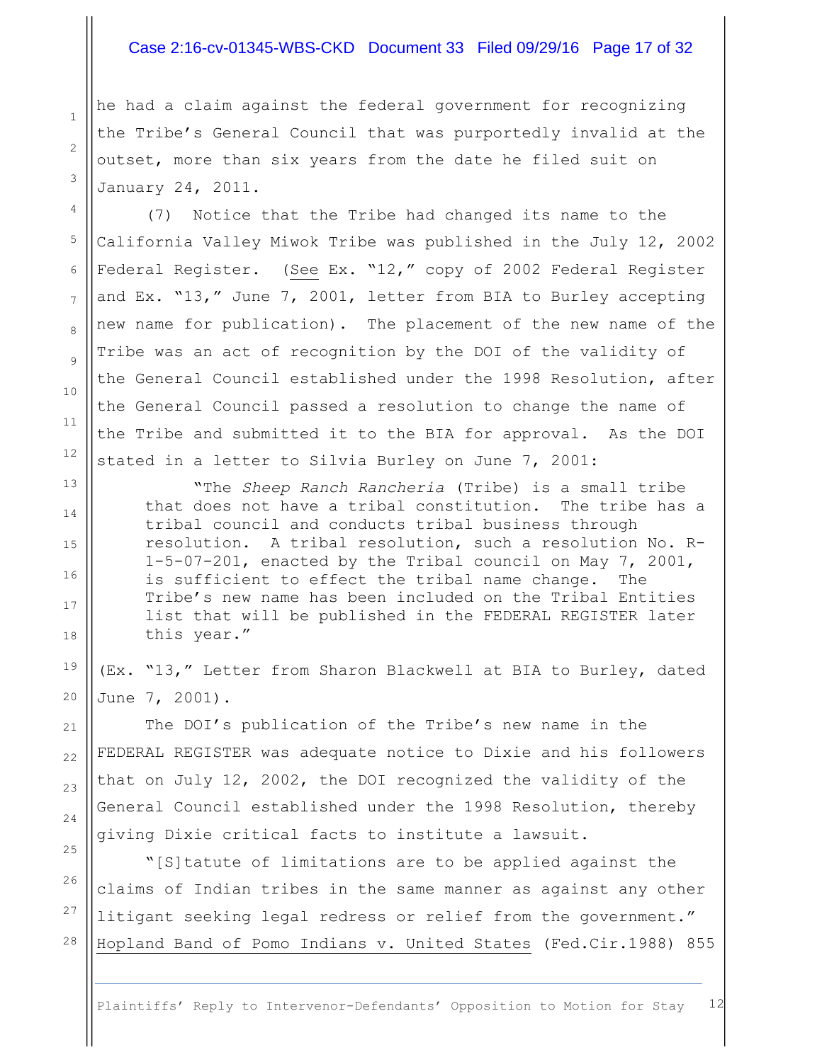### Case 2:16-cv-01345-WBS-CKD Document 33 Filed 09/29/16 Page 17 of 32

he had a claim against the federal government for recognizing the Tribe's General Council that was purportedly invalid at the outset, more than six years from the date he filed suit on January 24, 2011.

1

2

3

4

5

6

7

8

9

10

11

12

13

14

15

16

17

18

19

20

21

22

23

24

25

26

27

28

(7) Notice that the Tribe had changed its name to the California Valley Miwok Tribe was published in the July 12, 2002 Federal Register. (See Ex. "12," copy of 2002 Federal Register and Ex. "13," June 7, 2001, letter from BIA to Burley accepting new name for publication). The placement of the new name of the Tribe was an act of recognition by the DOI of the validity of the General Council established under the 1998 Resolution, after the General Council passed a resolution to change the name of the Tribe and submitted it to the BIA for approval. As the DOI stated in a letter to Silvia Burley on June 7, 2001:

"The *Sheep Ranch Rancheria* (Tribe) is a small tribe that does not have a tribal constitution. The tribe has a tribal council and conducts tribal business through resolution. A tribal resolution, such a resolution No. R-1-5-07-201, enacted by the Tribal council on May 7, 2001, is sufficient to effect the tribal name change. The Tribe's new name has been included on the Tribal Entities list that will be published in the FEDERAL REGISTER later this year."

(Ex. "13," Letter from Sharon Blackwell at BIA to Burley, dated June 7, 2001).

The DOI's publication of the Tribe's new name in the FEDERAL REGISTER was adequate notice to Dixie and his followers that on July 12, 2002, the DOI recognized the validity of the General Council established under the 1998 Resolution, thereby giving Dixie critical facts to institute a lawsuit.

"[S]tatute of limitations are to be applied against the claims of Indian tribes in the same manner as against any other litigant seeking legal redress or relief from the government." Hopland Band of Pomo Indians v. United States (Fed.Cir.1988) 855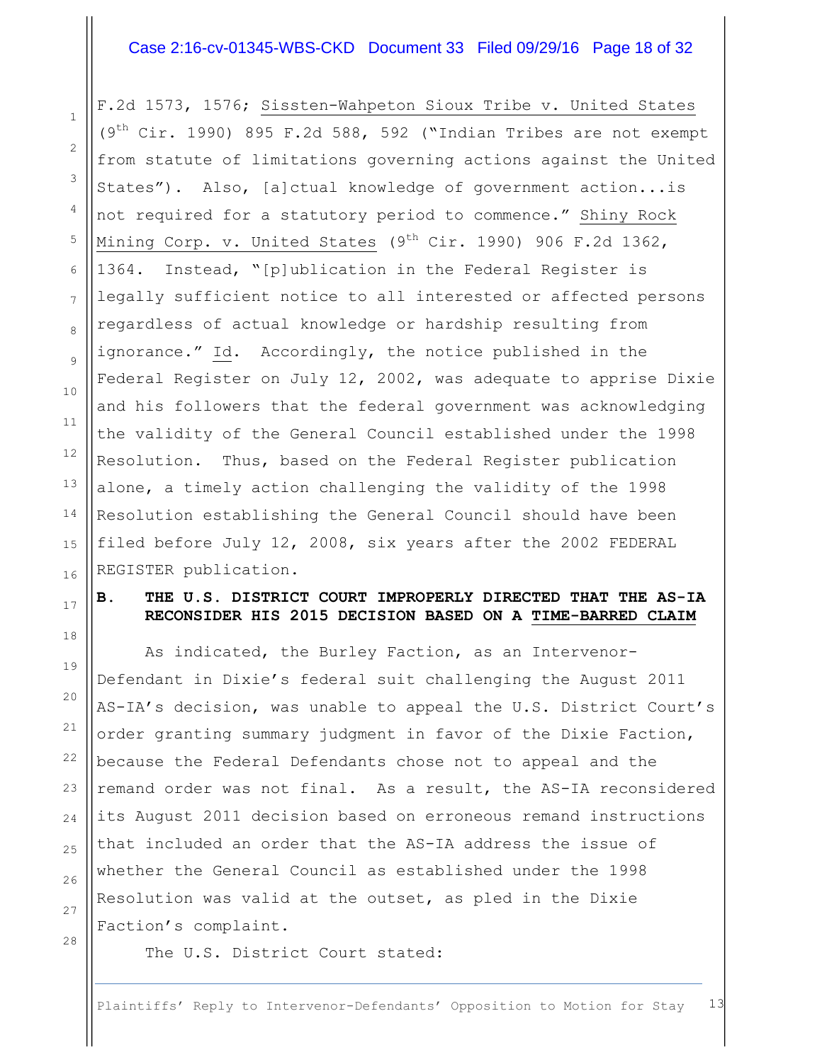#### Case 2:16-cv-01345-WBS-CKD Document 33 Filed 09/29/16 Page 18 of 32

F.2d 1573, 1576; Sissten-Wahpeton Sioux Tribe v. United States  $(9<sup>th</sup> Cir. 1990)$  895 F.2d 588, 592 ("Indian Tribes are not exempt from statute of limitations governing actions against the United States"). Also, [a]ctual knowledge of government action...is not required for a statutory period to commence." Shiny Rock Mining Corp. v. United States (9<sup>th</sup> Cir. 1990) 906 F.2d 1362, 1364. Instead, "[p]ublication in the Federal Register is legally sufficient notice to all interested or affected persons regardless of actual knowledge or hardship resulting from ignorance." Id. Accordingly, the notice published in the Federal Register on July 12, 2002, was adequate to apprise Dixie and his followers that the federal government was acknowledging the validity of the General Council established under the 1998 Resolution. Thus, based on the Federal Register publication alone, a timely action challenging the validity of the 1998 Resolution establishing the General Council should have been filed before July 12, 2008, six years after the 2002 FEDERAL REGISTER publication.

## **B. THE U.S. DISTRICT COURT IMPROPERLY DIRECTED THAT THE AS-IA RECONSIDER HIS 2015 DECISION BASED ON A TIME-BARRED CLAIM**

As indicated, the Burley Faction, as an Intervenor-Defendant in Dixie's federal suit challenging the August 2011 AS-IA's decision, was unable to appeal the U.S. District Court's order granting summary judgment in favor of the Dixie Faction, because the Federal Defendants chose not to appeal and the remand order was not final. As a result, the AS-IA reconsidered its August 2011 decision based on erroneous remand instructions that included an order that the AS-IA address the issue of whether the General Council as established under the 1998 Resolution was valid at the outset, as pled in the Dixie Faction's complaint.

27 28

1

2

3

4

5

6

7

8

9

10

11

12

13

14

15

16

17

18

19

20

21

22

23

24

25

26

The U.S. District Court stated: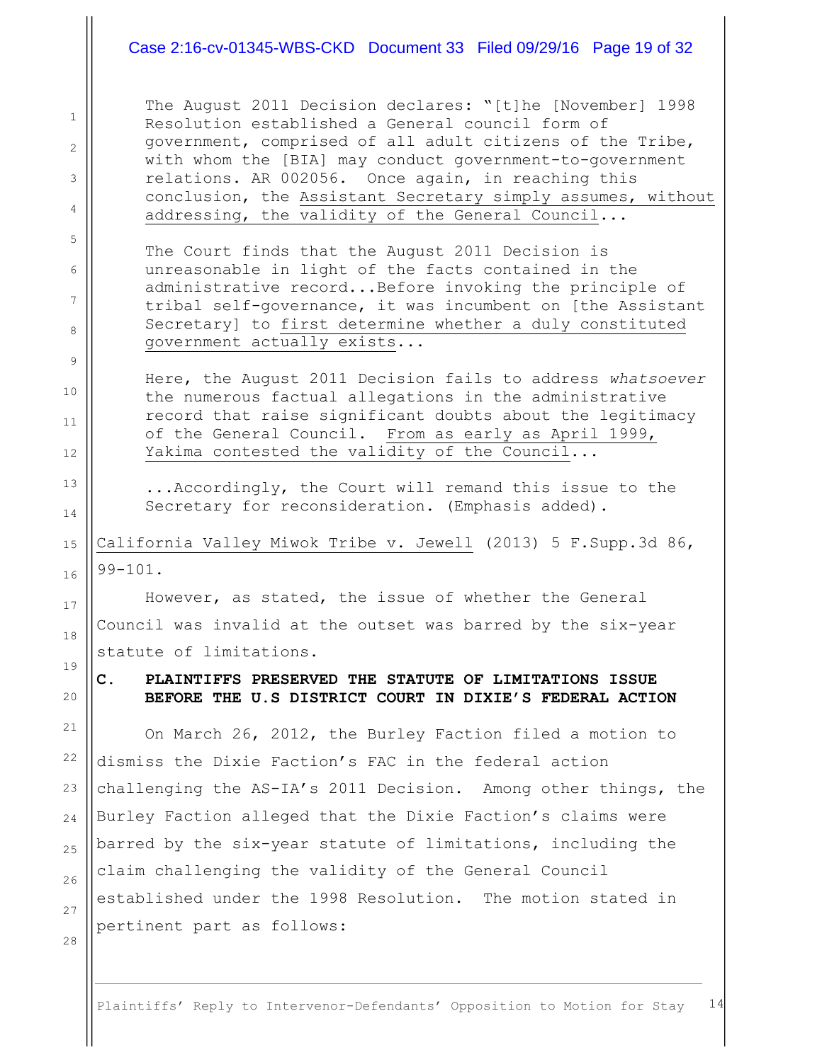#### Case 2:16-cv-01345-WBS-CKD Document 33 Filed 09/29/16 Page 19 of 32

The August 2011 Decision declares: "[t]he [November] 1998 Resolution established a General council form of government, comprised of all adult citizens of the Tribe, with whom the [BIA] may conduct government-to-government relations. AR 002056. Once again, in reaching this conclusion, the Assistant Secretary simply assumes, without addressing, the validity of the General Council...

The Court finds that the August 2011 Decision is unreasonable in light of the facts contained in the administrative record...Before invoking the principle of tribal self-governance, it was incumbent on [the Assistant Secretary] to first determine whether a duly constituted government actually exists...

Here, the August 2011 Decision fails to address *whatsoever* the numerous factual allegations in the administrative record that raise significant doubts about the legitimacy of the General Council. From as early as April 1999, Yakima contested the validity of the Council...

...Accordingly, the Court will remand this issue to the Secretary for reconsideration. (Emphasis added).

California Valley Miwok Tribe v. Jewell (2013) 5 F.Supp.3d 86, 99-101.

However, as stated, the issue of whether the General Council was invalid at the outset was barred by the six-year statute of limitations.

**C. PLAINTIFFS PRESERVED THE STATUTE OF LIMITATIONS ISSUE BEFORE THE U.S DISTRICT COURT IN DIXIE'S FEDERAL ACTION**

On March 26, 2012, the Burley Faction filed a motion to dismiss the Dixie Faction's FAC in the federal action challenging the AS-IA's 2011 Decision. Among other things, the Burley Faction alleged that the Dixie Faction's claims were barred by the six-year statute of limitations, including the claim challenging the validity of the General Council established under the 1998 Resolution. The motion stated in pertinent part as follows:

1

2

3

4

5

6

7

8

9

10

11

12

13

14

15

16

17

18

19

20

21

22

23

24

25

26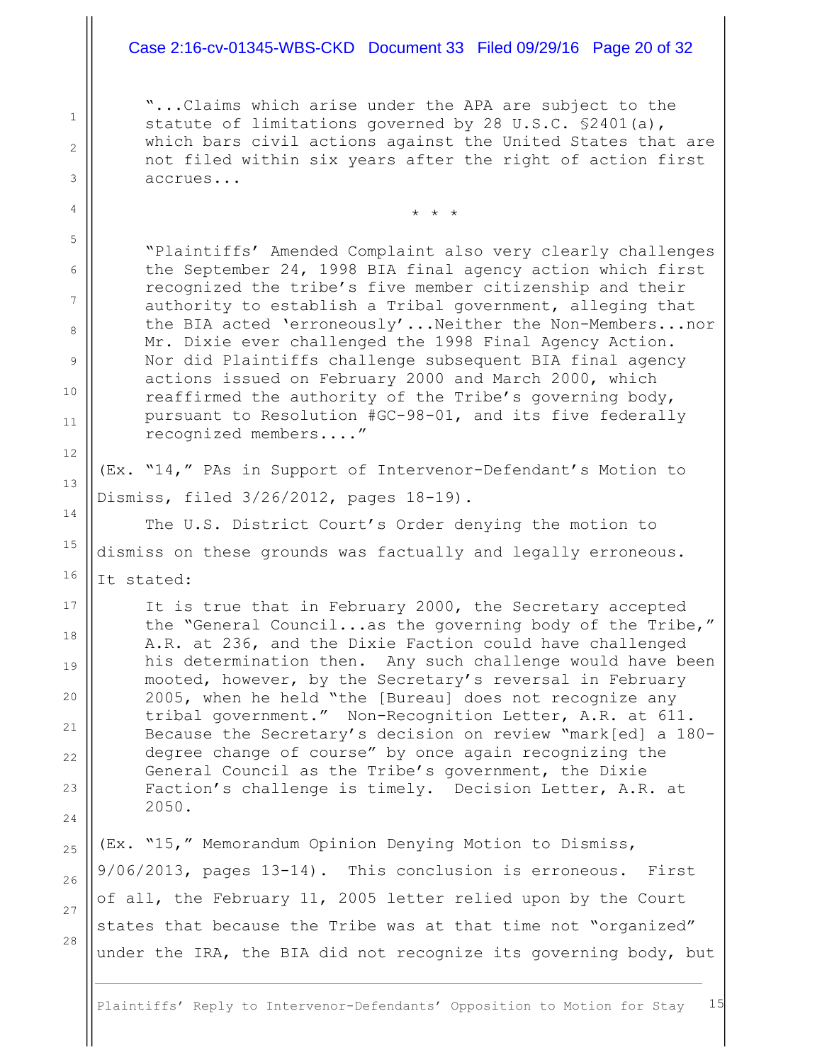#### Case 2:16-cv-01345-WBS-CKD Document 33 Filed 09/29/16 Page 20 of 32

"...Claims which arise under the APA are subject to the statute of limitations governed by 28 U.S.C. §2401(a), which bars civil actions against the United States that are not filed within six years after the right of action first accrues...

\* \* \*

"Plaintiffs' Amended Complaint also very clearly challenges the September 24, 1998 BIA final agency action which first recognized the tribe's five member citizenship and their authority to establish a Tribal government, alleging that the BIA acted 'erroneously'...Neither the Non-Members...nor Mr. Dixie ever challenged the 1998 Final Agency Action. Nor did Plaintiffs challenge subsequent BIA final agency actions issued on February 2000 and March 2000, which reaffirmed the authority of the Tribe's governing body, pursuant to Resolution #GC-98-01, and its five federally recognized members...."

(Ex. "14," PAs in Support of Intervenor-Defendant's Motion to Dismiss, filed 3/26/2012, pages 18-19).

The U.S. District Court's Order denying the motion to dismiss on these grounds was factually and legally erroneous. It stated:

It is true that in February 2000, the Secretary accepted the "General Council...as the governing body of the Tribe," A.R. at 236, and the Dixie Faction could have challenged his determination then. Any such challenge would have been mooted, however, by the Secretary's reversal in February 2005, when he held "the [Bureau] does not recognize any tribal government." Non-Recognition Letter, A.R. at 611. Because the Secretary's decision on review "mark[ed] a 180 degree change of course" by once again recognizing the General Council as the Tribe's government, the Dixie Faction's challenge is timely. Decision Letter, A.R. at 2050.

(Ex. "15," Memorandum Opinion Denying Motion to Dismiss, 9/06/2013, pages 13-14). This conclusion is erroneous. First of all, the February 11, 2005 letter relied upon by the Court states that because the Tribe was at that time not "organized" under the IRA, the BIA did not recognize its governing body, but

26

27

28

1

2

3

4

5

6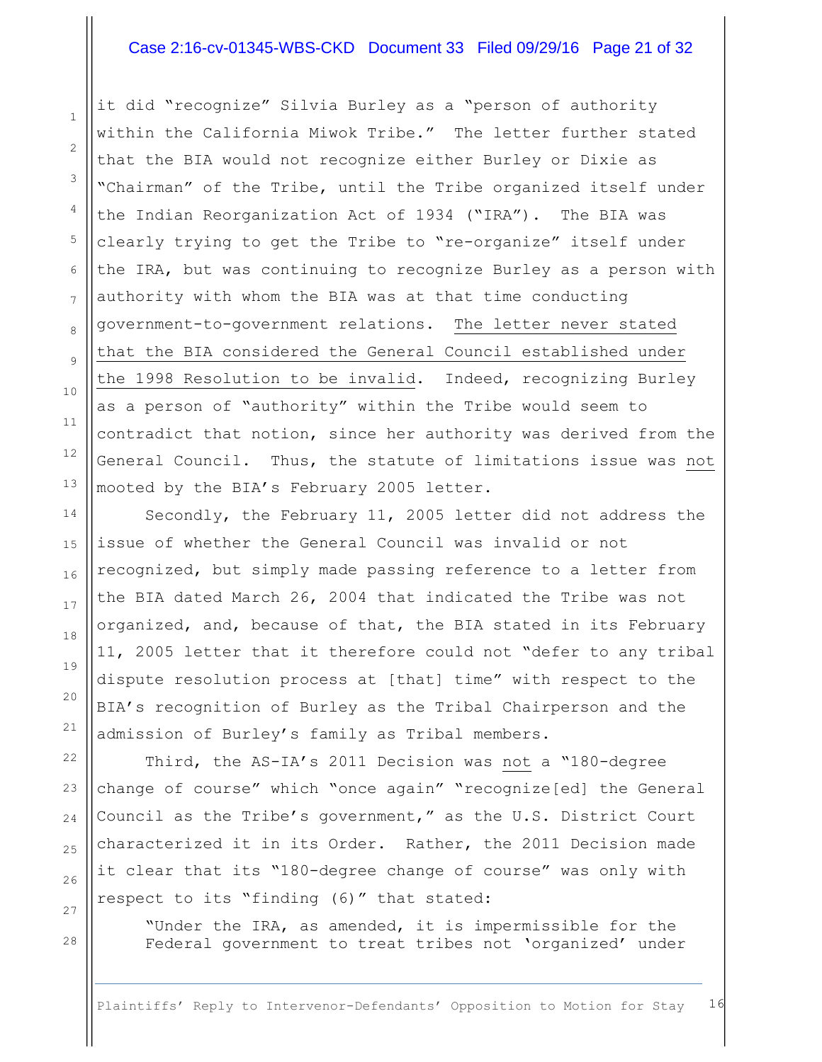#### Case 2:16-cv-01345-WBS-CKD Document 33 Filed 09/29/16 Page 21 of 32

it did "recognize" Silvia Burley as a "person of authority within the California Miwok Tribe." The letter further stated that the BIA would not recognize either Burley or Dixie as "Chairman" of the Tribe, until the Tribe organized itself under the Indian Reorganization Act of 1934 ("IRA"). The BIA was clearly trying to get the Tribe to "re-organize" itself under the IRA, but was continuing to recognize Burley as a person with authority with whom the BIA was at that time conducting government-to-government relations. The letter never stated that the BIA considered the General Council established under the 1998 Resolution to be invalid. Indeed, recognizing Burley as a person of "authority" within the Tribe would seem to contradict that notion, since her authority was derived from the General Council. Thus, the statute of limitations issue was not mooted by the BIA's February 2005 letter.

Secondly, the February 11, 2005 letter did not address the issue of whether the General Council was invalid or not recognized, but simply made passing reference to a letter from the BIA dated March 26, 2004 that indicated the Tribe was not organized, and, because of that, the BIA stated in its February 11, 2005 letter that it therefore could not "defer to any tribal dispute resolution process at [that] time" with respect to the BIA's recognition of Burley as the Tribal Chairperson and the admission of Burley's family as Tribal members.

Third, the AS-IA's 2011 Decision was not a "180-degree change of course" which "once again" "recognize[ed] the General Council as the Tribe's government," as the U.S. District Court characterized it in its Order. Rather, the 2011 Decision made it clear that its "180-degree change of course" was only with respect to its "finding (6)" that stated:

"Under the IRA, as amended, it is impermissible for the Federal government to treat tribes not 'organized' under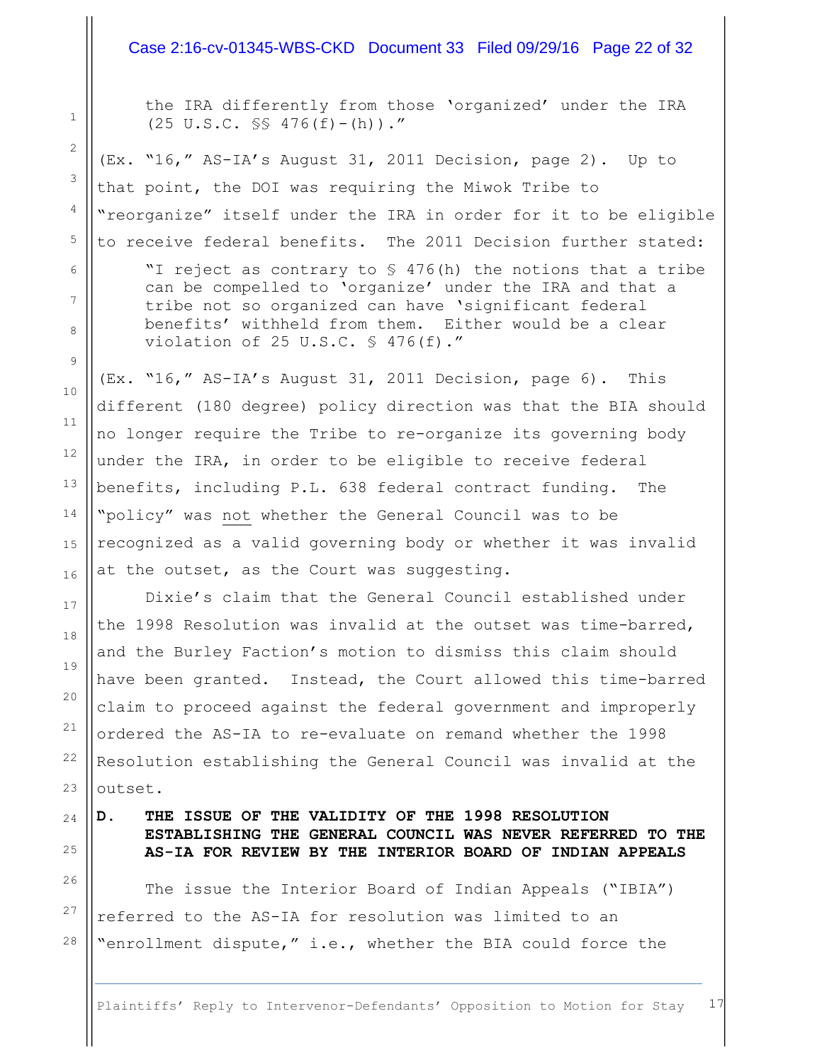#### Case 2:16-cv-01345-WBS-CKD Document 33 Filed 09/29/16 Page 22 of 32

the IRA differently from those 'organized' under the IRA  $(25 \text{ U.S.C. }$  SS  $476(f) - (h))$ ."

(Ex. "16," AS-IA's August 31, 2011 Decision, page 2). Up to that point, the DOI was requiring the Miwok Tribe to "reorganize" itself under the IRA in order for it to be eligible to receive federal benefits. The 2011 Decision further stated:

"I reject as contrary to § 476(h) the notions that a tribe can be compelled to 'organize' under the IRA and that a tribe not so organized can have 'significant federal benefits' withheld from them. Either would be a clear violation of 25 U.S.C. § 476(f)."

(Ex. "16," AS-IA's August 31, 2011 Decision, page 6). This different (180 degree) policy direction was that the BIA should no longer require the Tribe to re-organize its governing body under the IRA, in order to be eligible to receive federal benefits, including P.L. 638 federal contract funding. The "policy" was not whether the General Council was to be recognized as a valid governing body or whether it was invalid at the outset, as the Court was suggesting.

Dixie's claim that the General Council established under the 1998 Resolution was invalid at the outset was time-barred, and the Burley Faction's motion to dismiss this claim should have been granted. Instead, the Court allowed this time-barred claim to proceed against the federal government and improperly ordered the AS-IA to re-evaluate on remand whether the 1998 Resolution establishing the General Council was invalid at the outset.

# 24 25

1

2

3

4

5

6

7

8

9

10

11

12

13

14

15

16

17

18

19

20

21

22

23

26

27

28

## **D. THE ISSUE OF THE VALIDITY OF THE 1998 RESOLUTION ESTABLISHING THE GENERAL COUNCIL WAS NEVER REFERRED TO THE AS-IA FOR REVIEW BY THE INTERIOR BOARD OF INDIAN APPEALS**

The issue the Interior Board of Indian Appeals ("IBIA") referred to the AS-IA for resolution was limited to an "enrollment dispute," i.e., whether the BIA could force the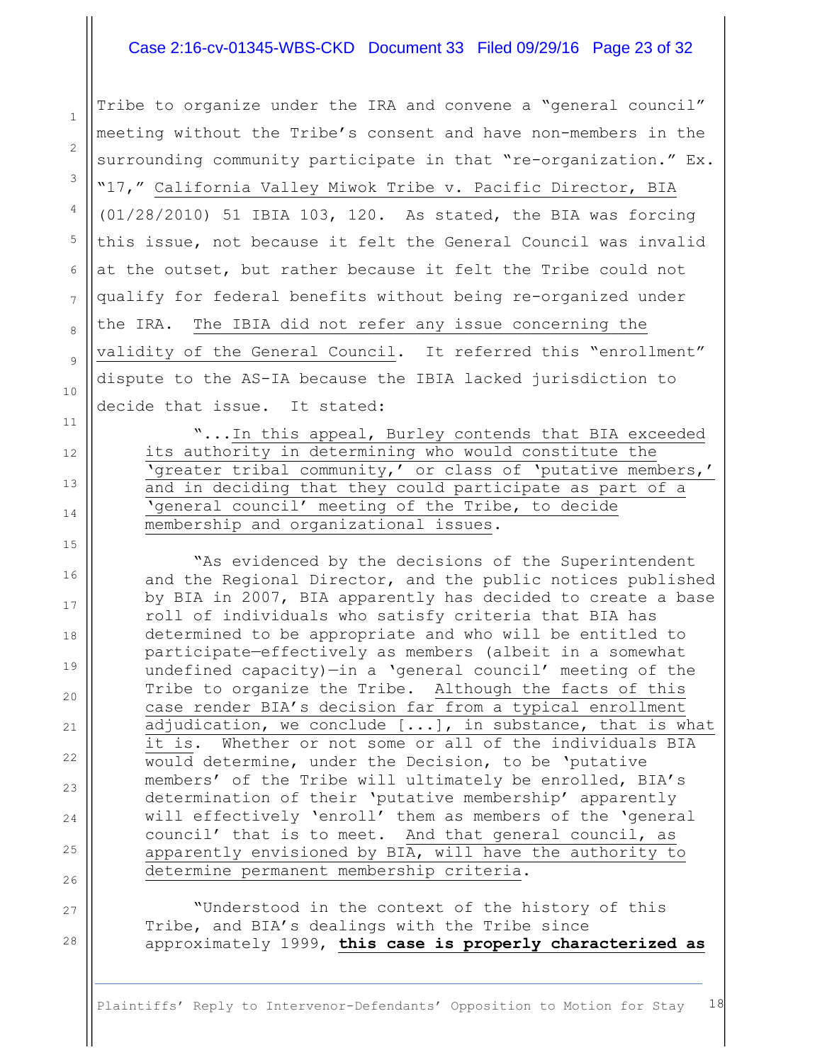#### Case 2:16-cv-01345-WBS-CKD Document 33 Filed 09/29/16 Page 23 of 32

1

2

3

4

5

6

7

8

9

10

11

12

13

14

15

16

17

18

19

20

21

 $22$ 

23

24

25

26

27

28

Tribe to organize under the IRA and convene a "general council" meeting without the Tribe's consent and have non-members in the surrounding community participate in that "re-organization." Ex. "17," California Valley Miwok Tribe v. Pacific Director, BIA (01/28/2010) 51 IBIA 103, 120. As stated, the BIA was forcing this issue, not because it felt the General Council was invalid at the outset, but rather because it felt the Tribe could not qualify for federal benefits without being re-organized under the IRA. The IBIA did not refer any issue concerning the validity of the General Council. It referred this "enrollment" dispute to the AS-IA because the IBIA lacked jurisdiction to decide that issue. It stated:

"...In this appeal, Burley contends that BIA exceeded its authority in determining who would constitute the 'greater tribal community,' or class of 'putative members,' and in deciding that they could participate as part of a 'general council' meeting of the Tribe, to decide membership and organizational issues.

"As evidenced by the decisions of the Superintendent and the Regional Director, and the public notices published by BIA in 2007, BIA apparently has decided to create a base roll of individuals who satisfy criteria that BIA has determined to be appropriate and who will be entitled to participate—effectively as members (albeit in a somewhat undefined capacity)—in a 'general council' meeting of the Tribe to organize the Tribe. Although the facts of this case render BIA's decision far from a typical enrollment adjudication, we conclude [...], in substance, that is what it is. Whether or not some or all of the individuals BIA would determine, under the Decision, to be 'putative members' of the Tribe will ultimately be enrolled, BIA's determination of their 'putative membership' apparently will effectively 'enroll' them as members of the 'general council' that is to meet. And that general council, as apparently envisioned by BIA, will have the authority to determine permanent membership criteria.

"Understood in the context of the history of this Tribe, and BIA's dealings with the Tribe since approximately 1999, **this case is properly characterized as**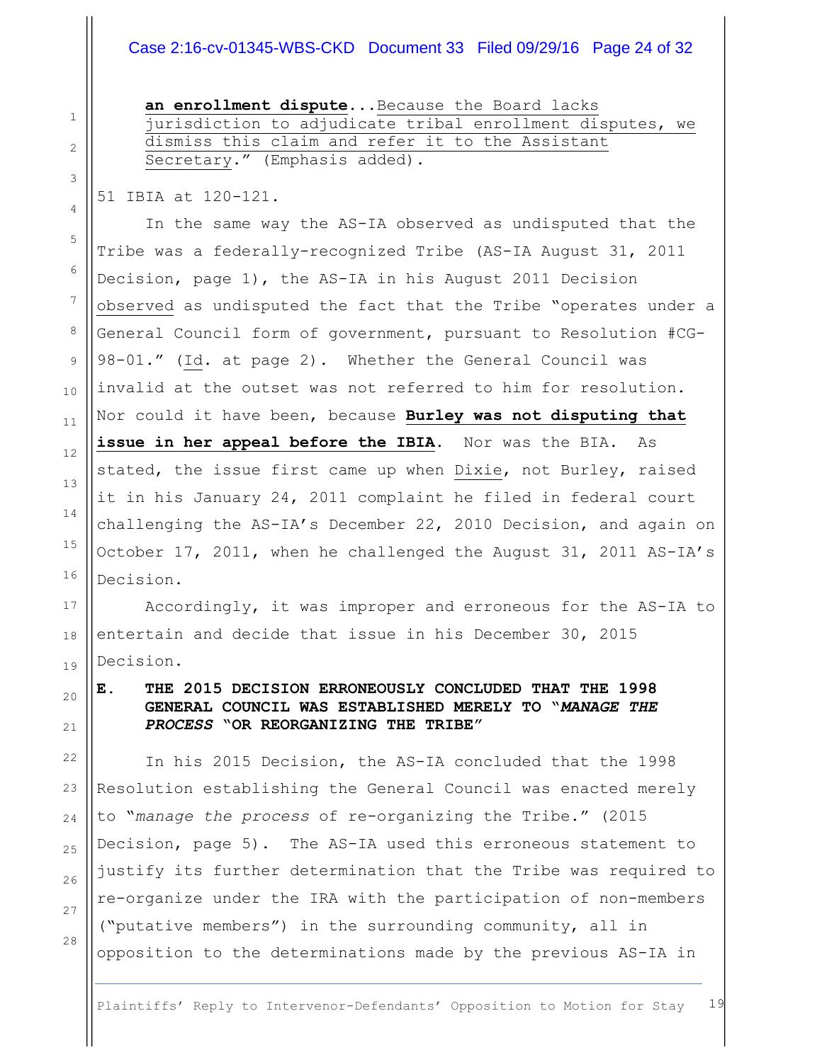## Case 2:16-cv-01345-WBS-CKD Document 33 Filed 09/29/16 Page 24 of 32

**an enrollment dispute**...Because the Board lacks jurisdiction to adjudicate tribal enrollment disputes, we dismiss this claim and refer it to the Assistant Secretary." (Emphasis added).

51 IBIA at 120-121.

In the same way the AS-IA observed as undisputed that the Tribe was a federally-recognized Tribe (AS-IA August 31, 2011 Decision, page 1), the AS-IA in his August 2011 Decision observed as undisputed the fact that the Tribe "operates under a General Council form of government, pursuant to Resolution #CG-98-01." (Id. at page 2). Whether the General Council was invalid at the outset was not referred to him for resolution. Nor could it have been, because **Burley was not disputing that**  issue in her appeal before the IBIA. Nor was the BIA. As stated, the issue first came up when Dixie, not Burley, raised it in his January 24, 2011 complaint he filed in federal court challenging the AS-IA's December 22, 2010 Decision, and again on October 17, 2011, when he challenged the August 31, 2011 AS-IA's Decision.

Accordingly, it was improper and erroneous for the AS-IA to entertain and decide that issue in his December 30, 2015 Decision.

## **E. THE 2015 DECISION ERRONEOUSLY CONCLUDED THAT THE 1998 GENERAL COUNCIL WAS ESTABLISHED MERELY TO "***MANAGE THE PROCESS* **"OR REORGANIZING THE TRIBE"**

In his 2015 Decision, the AS-IA concluded that the 1998 Resolution establishing the General Council was enacted merely to "*manage the process* of re-organizing the Tribe." (2015 Decision, page 5). The AS-IA used this erroneous statement to justify its further determination that the Tribe was required to re-organize under the IRA with the participation of non-members ("putative members") in the surrounding community, all in opposition to the determinations made by the previous AS-IA in

13

14

15

16

17

18

19

20

21

22

23

24

25

26

27

28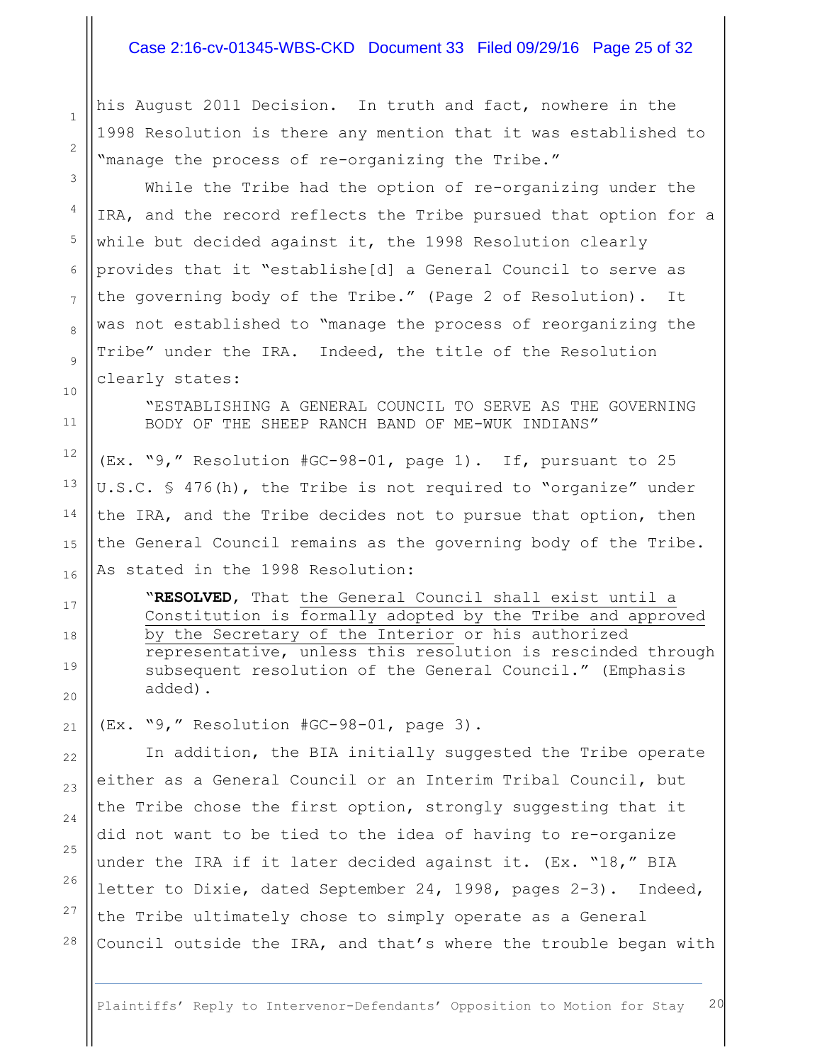#### Case 2:16-cv-01345-WBS-CKD Document 33 Filed 09/29/16 Page 25 of 32

his August 2011 Decision. In truth and fact, nowhere in the 1998 Resolution is there any mention that it was established to "manage the process of re-organizing the Tribe."

While the Tribe had the option of re-organizing under the IRA, and the record reflects the Tribe pursued that option for a while but decided against it, the 1998 Resolution clearly provides that it "establishe[d] a General Council to serve as the governing body of the Tribe." (Page 2 of Resolution). It was not established to "manage the process of reorganizing the Tribe" under the IRA. Indeed, the title of the Resolution clearly states:

"ESTABLISHING A GENERAL COUNCIL TO SERVE AS THE GOVERNING BODY OF THE SHEEP RANCH BAND OF ME-WUK INDIANS"

(Ex. "9," Resolution #GC-98-01, page 1). If, pursuant to 25 U.S.C. § 476(h), the Tribe is not required to "organize" under the IRA, and the Tribe decides not to pursue that option, then the General Council remains as the governing body of the Tribe. As stated in the 1998 Resolution:

"**RESOLVED**, That the General Council shall exist until a Constitution is formally adopted by the Tribe and approved by the Secretary of the Interior or his authorized representative, unless this resolution is rescinded through subsequent resolution of the General Council." (Emphasis added).

(Ex. "9," Resolution #GC-98-01, page 3).

In addition, the BIA initially suggested the Tribe operate either as a General Council or an Interim Tribal Council, but the Tribe chose the first option, strongly suggesting that it did not want to be tied to the idea of having to re-organize under the IRA if it later decided against it. (Ex. "18," BIA letter to Dixie, dated September 24, 1998, pages 2-3). Indeed, the Tribe ultimately chose to simply operate as a General Council outside the IRA, and that's where the trouble began with

28

1

2

3

4

5

6

7

8

9

10

11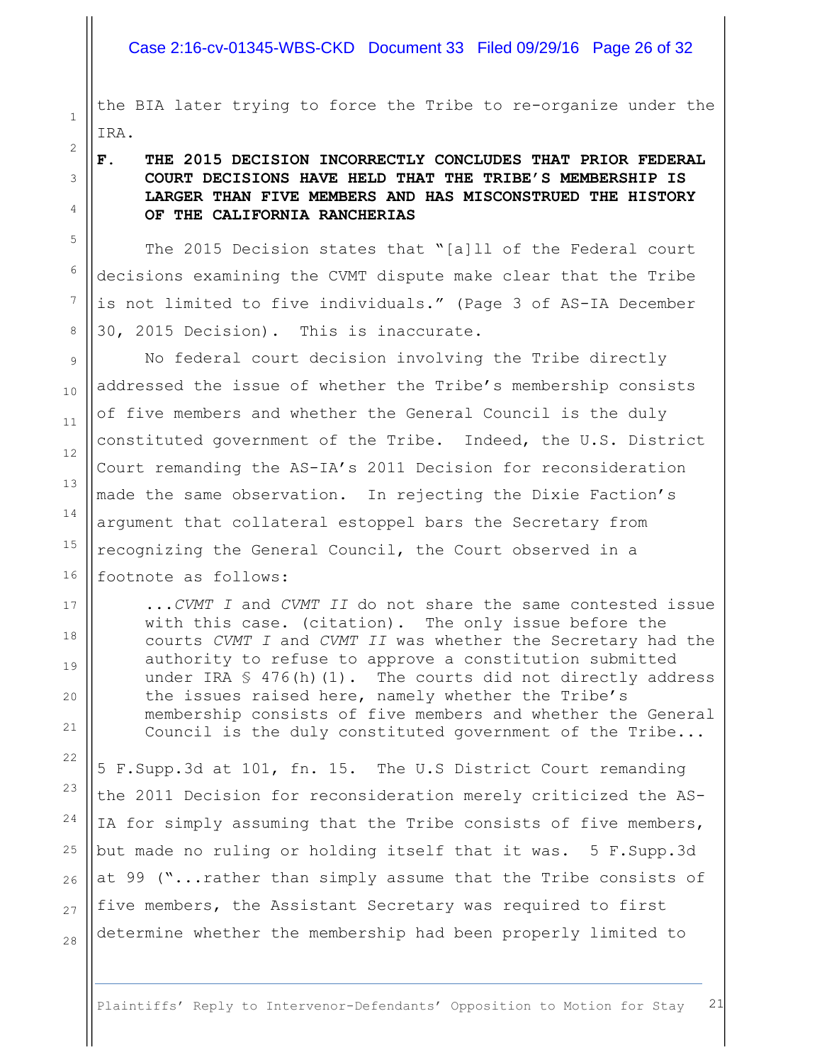#### Case 2:16-cv-01345-WBS-CKD Document 33 Filed 09/29/16 Page 26 of 32

the BIA later trying to force the Tribe to re-organize under the IRA.

## **F. THE 2015 DECISION INCORRECTLY CONCLUDES THAT PRIOR FEDERAL COURT DECISIONS HAVE HELD THAT THE TRIBE'S MEMBERSHIP IS LARGER THAN FIVE MEMBERS AND HAS MISCONSTRUED THE HISTORY OF THE CALIFORNIA RANCHERIAS**

The 2015 Decision states that "[a]ll of the Federal court decisions examining the CVMT dispute make clear that the Tribe is not limited to five individuals." (Page 3 of AS-IA December 30, 2015 Decision). This is inaccurate.

No federal court decision involving the Tribe directly addressed the issue of whether the Tribe's membership consists of five members and whether the General Council is the duly constituted government of the Tribe. Indeed, the U.S. District Court remanding the AS-IA's 2011 Decision for reconsideration made the same observation. In rejecting the Dixie Faction's argument that collateral estoppel bars the Secretary from recognizing the General Council, the Court observed in a footnote as follows:

...*CVMT I* and *CVMT II* do not share the same contested issue with this case. (citation). The only issue before the courts *CVMT I* and *CVMT II* was whether the Secretary had the authority to refuse to approve a constitution submitted under IRA  $\frac{1}{5}$  476(h)(1). The courts did not directly address the issues raised here, namely whether the Tribe's membership consists of five members and whether the General Council is the duly constituted government of the Tribe...

5 F.Supp.3d at 101, fn. 15. The U.S District Court remanding the 2011 Decision for reconsideration merely criticized the AS-IA for simply assuming that the Tribe consists of five members, but made no ruling or holding itself that it was. 5 F.Supp.3d at 99 ("...rather than simply assume that the Tribe consists of five members, the Assistant Secretary was required to first determine whether the membership had been properly limited to

27

28

1

2

3

4

5

6

7

8

9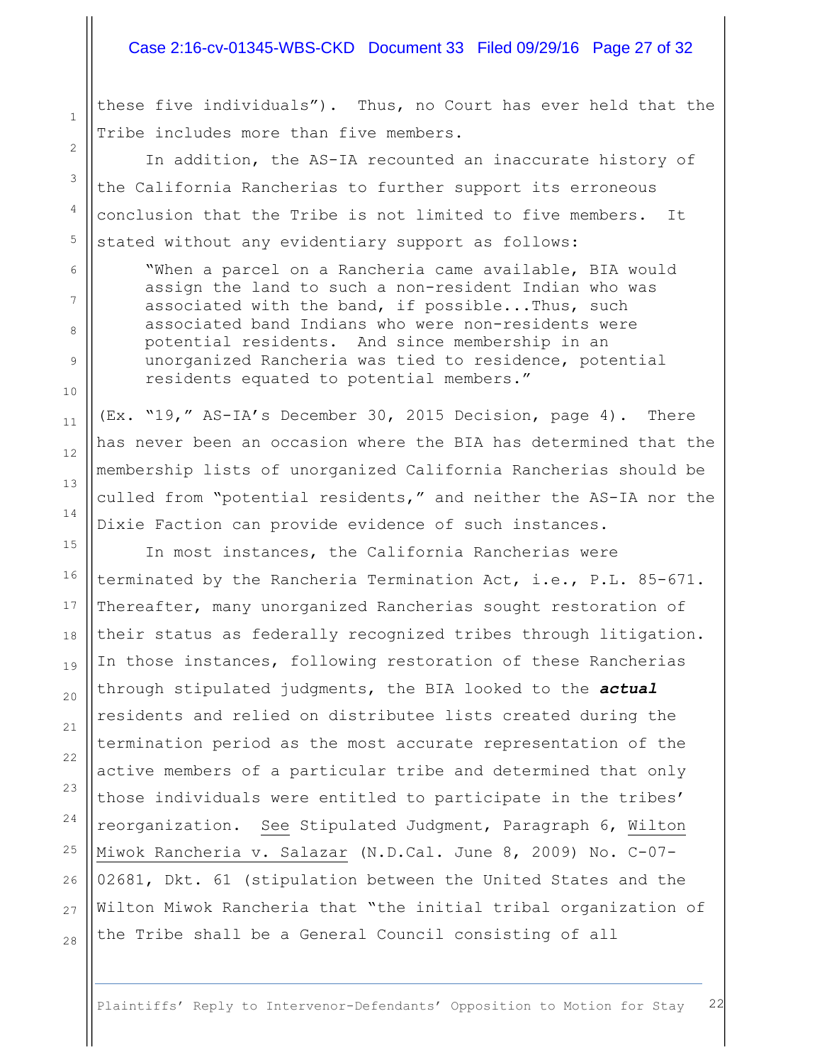#### Case 2:16-cv-01345-WBS-CKD Document 33 Filed 09/29/16 Page 27 of 32

these five individuals"). Thus, no Court has ever held that the Tribe includes more than five members.

1

2

3

4

5

6

7

8

9

10

11

12

13

14

15

16

17

18

19

20

21

22

23

24

25

26

27

28

In addition, the AS-IA recounted an inaccurate history of the California Rancherias to further support its erroneous conclusion that the Tribe is not limited to five members. It stated without any evidentiary support as follows:

"When a parcel on a Rancheria came available, BIA would assign the land to such a non-resident Indian who was associated with the band, if possible...Thus, such associated band Indians who were non-residents were potential residents. And since membership in an unorganized Rancheria was tied to residence, potential residents equated to potential members."

(Ex. "19," AS-IA's December 30, 2015 Decision, page 4). There has never been an occasion where the BIA has determined that the membership lists of unorganized California Rancherias should be culled from "potential residents," and neither the AS-IA nor the Dixie Faction can provide evidence of such instances.

In most instances, the California Rancherias were terminated by the Rancheria Termination Act, i.e., P.L. 85-671. Thereafter, many unorganized Rancherias sought restoration of their status as federally recognized tribes through litigation. In those instances, following restoration of these Rancherias through stipulated judgments, the BIA looked to the *actual* residents and relied on distributee lists created during the termination period as the most accurate representation of the active members of a particular tribe and determined that only those individuals were entitled to participate in the tribes' reorganization. See Stipulated Judgment, Paragraph 6, Wilton Miwok Rancheria v. Salazar (N.D.Cal. June 8, 2009) No. C-07- 02681, Dkt. 61 (stipulation between the United States and the Wilton Miwok Rancheria that "the initial tribal organization of the Tribe shall be a General Council consisting of all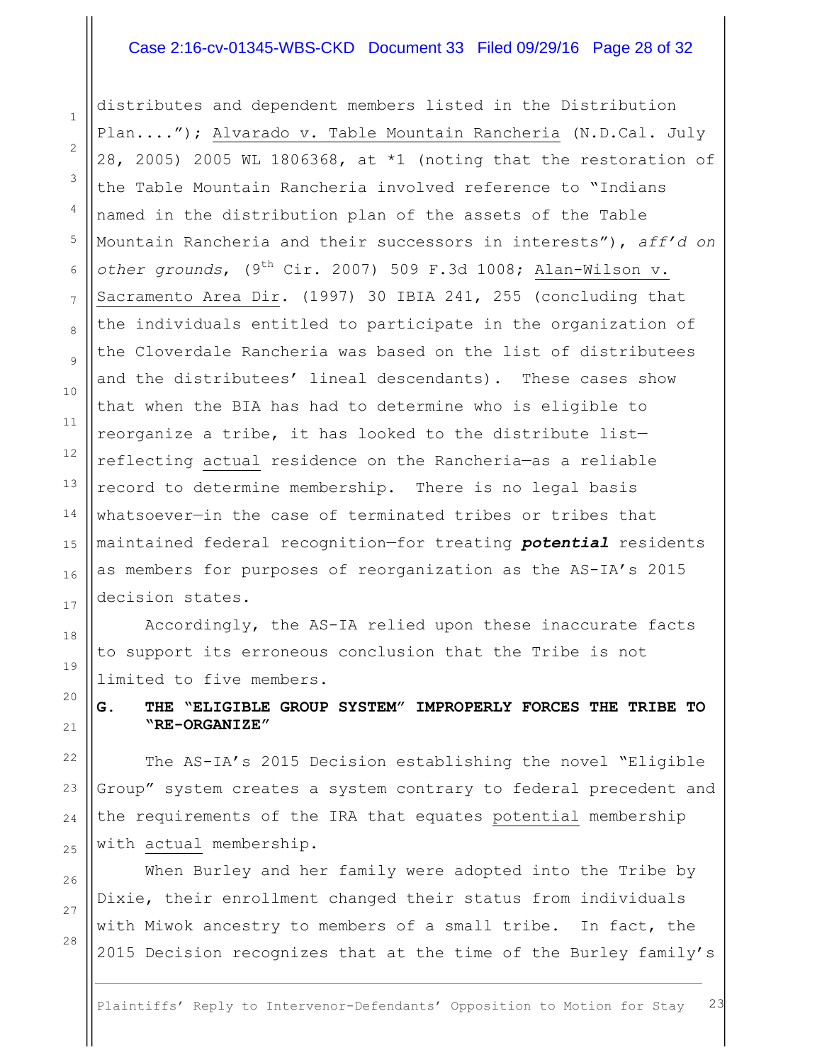#### Case 2:16-cv-01345-WBS-CKD Document 33 Filed 09/29/16 Page 28 of 32

distributes and dependent members listed in the Distribution Plan...."); Alvarado v. Table Mountain Rancheria (N.D.Cal. July 28, 2005) 2005 WL 1806368, at \*1 (noting that the restoration of the Table Mountain Rancheria involved reference to "Indians named in the distribution plan of the assets of the Table Mountain Rancheria and their successors in interests"), *aff'd on other grounds*, (9th Cir. 2007) 509 F.3d 1008; Alan-Wilson v. Sacramento Area Dir. (1997) 30 IBIA 241, 255 (concluding that the individuals entitled to participate in the organization of the Cloverdale Rancheria was based on the list of distributees and the distributees' lineal descendants). These cases show that when the BIA has had to determine who is eligible to reorganize a tribe, it has looked to the distribute list reflecting actual residence on the Rancheria—as a reliable record to determine membership. There is no legal basis whatsoever—in the case of terminated tribes or tribes that maintained federal recognition—for treating *potential* residents as members for purposes of reorganization as the AS-IA's 2015 decision states.

Accordingly, the AS-IA relied upon these inaccurate facts to support its erroneous conclusion that the Tribe is not limited to five members.

**G. THE "ELIGIBLE GROUP SYSTEM" IMPROPERLY FORCES THE TRIBE TO "RE-ORGANIZE"**

The AS-IA's 2015 Decision establishing the novel "Eligible Group" system creates a system contrary to federal precedent and the requirements of the IRA that equates potential membership with actual membership.

When Burley and her family were adopted into the Tribe by Dixie, their enrollment changed their status from individuals with Miwok ancestry to members of a small tribe. In fact, the 2015 Decision recognizes that at the time of the Burley family's

28

1

2

3

4

5

6

7

8

9

10

11

12

13

14

15

16

17

18

19

20

21

 $22$ 

23

24

25

26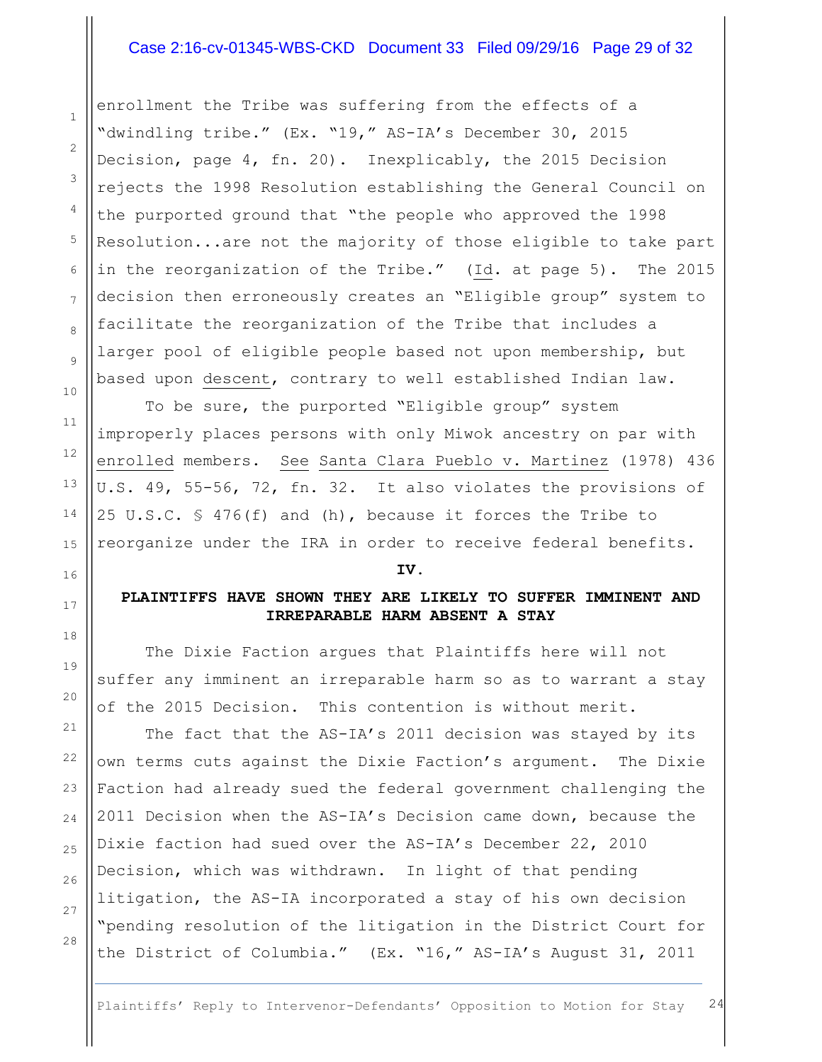## Case 2:16-cv-01345-WBS-CKD Document 33 Filed 09/29/16 Page 29 of 32

enrollment the Tribe was suffering from the effects of a "dwindling tribe." (Ex. "19," AS-IA's December 30, 2015 Decision, page 4, fn. 20). Inexplicably, the 2015 Decision rejects the 1998 Resolution establishing the General Council on the purported ground that "the people who approved the 1998 Resolution...are not the majority of those eligible to take part in the reorganization of the Tribe." (Id. at page 5). The 2015 decision then erroneously creates an "Eligible group" system to facilitate the reorganization of the Tribe that includes a larger pool of eligible people based not upon membership, but based upon descent, contrary to well established Indian law.

To be sure, the purported "Eligible group" system improperly places persons with only Miwok ancestry on par with enrolled members. See Santa Clara Pueblo v. Martinez (1978) 436 U.S. 49, 55-56, 72, fn. 32. It also violates the provisions of 25 U.S.C. § 476(f) and (h), because it forces the Tribe to reorganize under the IRA in order to receive federal benefits.

#### **IV.**

## **PLAINTIFFS HAVE SHOWN THEY ARE LIKELY TO SUFFER IMMINENT AND IRREPARABLE HARM ABSENT A STAY**

The Dixie Faction argues that Plaintiffs here will not suffer any imminent an irreparable harm so as to warrant a stay of the 2015 Decision. This contention is without merit.

The fact that the AS-IA's 2011 decision was stayed by its own terms cuts against the Dixie Faction's argument. The Dixie Faction had already sued the federal government challenging the 2011 Decision when the AS-IA's Decision came down, because the Dixie faction had sued over the AS-IA's December 22, 2010 Decision, which was withdrawn. In light of that pending litigation, the AS-IA incorporated a stay of his own decision "pending resolution of the litigation in the District Court for the District of Columbia." (Ex. "16," AS-IA's August 31, 2011

1

2

3

4

5

6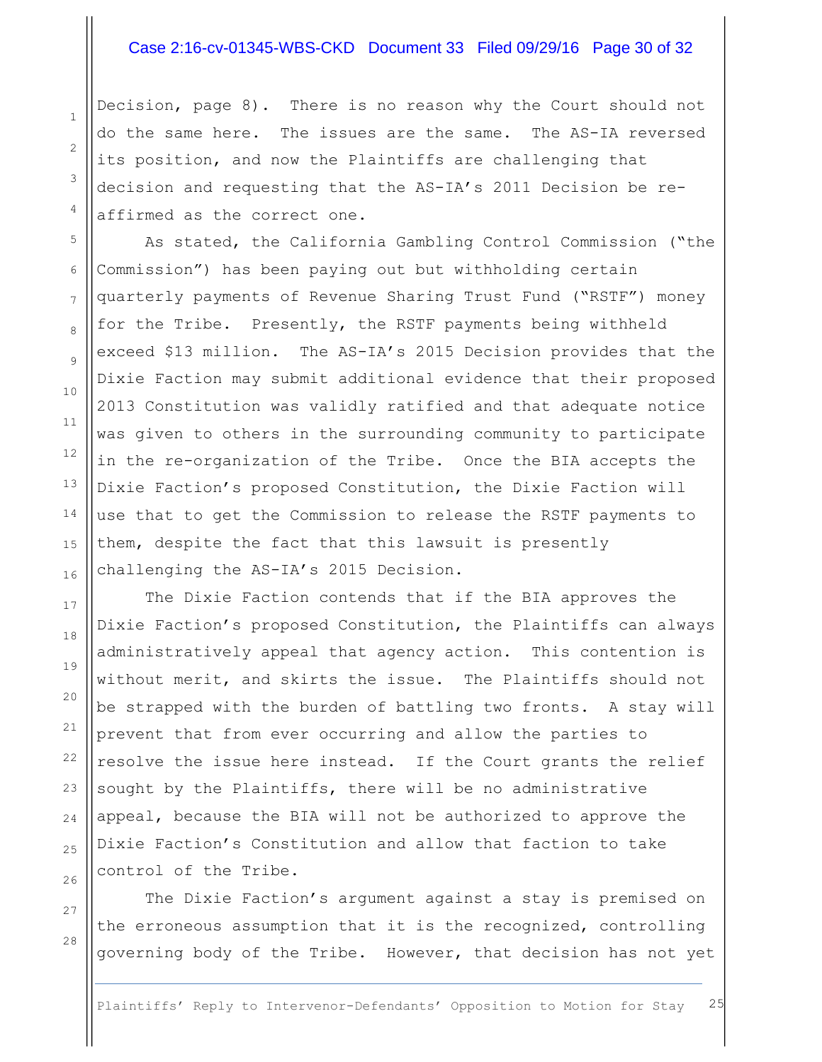#### Case 2:16-cv-01345-WBS-CKD Document 33 Filed 09/29/16 Page 30 of 32

Decision, page 8). There is no reason why the Court should not do the same here. The issues are the same. The AS-IA reversed its position, and now the Plaintiffs are challenging that decision and requesting that the AS-IA's 2011 Decision be reaffirmed as the correct one.

As stated, the California Gambling Control Commission ("the Commission") has been paying out but withholding certain quarterly payments of Revenue Sharing Trust Fund ("RSTF") money for the Tribe. Presently, the RSTF payments being withheld exceed \$13 million. The AS-IA's 2015 Decision provides that the Dixie Faction may submit additional evidence that their proposed 2013 Constitution was validly ratified and that adequate notice was given to others in the surrounding community to participate in the re-organization of the Tribe. Once the BIA accepts the Dixie Faction's proposed Constitution, the Dixie Faction will use that to get the Commission to release the RSTF payments to them, despite the fact that this lawsuit is presently challenging the AS-IA's 2015 Decision.

The Dixie Faction contends that if the BIA approves the Dixie Faction's proposed Constitution, the Plaintiffs can always administratively appeal that agency action. This contention is without merit, and skirts the issue. The Plaintiffs should not be strapped with the burden of battling two fronts. A stay will prevent that from ever occurring and allow the parties to resolve the issue here instead. If the Court grants the relief sought by the Plaintiffs, there will be no administrative appeal, because the BIA will not be authorized to approve the Dixie Faction's Constitution and allow that faction to take control of the Tribe.

The Dixie Faction's argument against a stay is premised on the erroneous assumption that it is the recognized, controlling governing body of the Tribe. However, that decision has not yet

Plaintiffs' Reply to Intervenor-Defendants' Opposition to Motion for Stay 25

1

2

3

4

5

6

7

8

9

10

11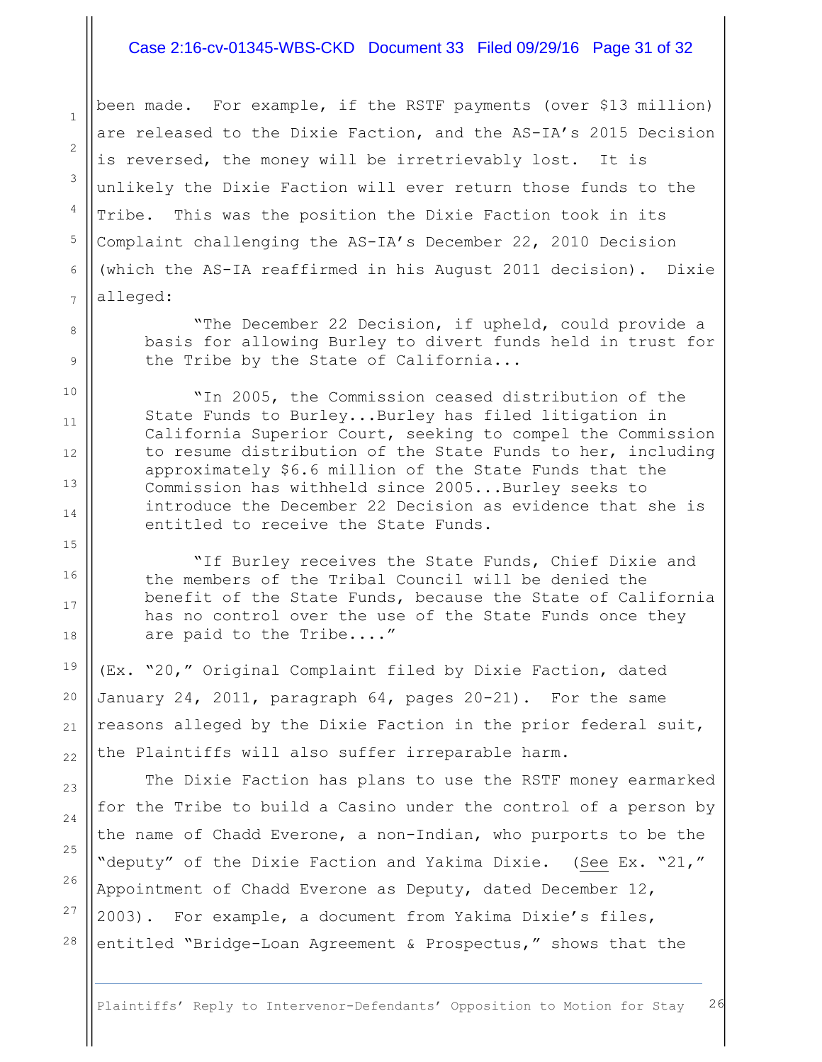#### Case 2:16-cv-01345-WBS-CKD Document 33 Filed 09/29/16 Page 31 of 32

been made. For example, if the RSTF payments (over \$13 million) are released to the Dixie Faction, and the AS-IA's 2015 Decision is reversed, the money will be irretrievably lost. It is unlikely the Dixie Faction will ever return those funds to the Tribe. This was the position the Dixie Faction took in its Complaint challenging the AS-IA's December 22, 2010 Decision (which the AS-IA reaffirmed in his August 2011 decision). Dixie alleged:

"The December 22 Decision, if upheld, could provide a basis for allowing Burley to divert funds held in trust for the Tribe by the State of California...

"In 2005, the Commission ceased distribution of the State Funds to Burley...Burley has filed litigation in California Superior Court, seeking to compel the Commission to resume distribution of the State Funds to her, including approximately \$6.6 million of the State Funds that the Commission has withheld since 2005...Burley seeks to introduce the December 22 Decision as evidence that she is entitled to receive the State Funds.

"If Burley receives the State Funds, Chief Dixie and the members of the Tribal Council will be denied the benefit of the State Funds, because the State of California has no control over the use of the State Funds once they are paid to the Tribe...."

(Ex. "20," Original Complaint filed by Dixie Faction, dated January 24, 2011, paragraph 64, pages 20-21). For the same reasons alleged by the Dixie Faction in the prior federal suit, the Plaintiffs will also suffer irreparable harm.

The Dixie Faction has plans to use the RSTF money earmarked for the Tribe to build a Casino under the control of a person by the name of Chadd Everone, a non-Indian, who purports to be the "deputy" of the Dixie Faction and Yakima Dixie. (See Ex. "21," Appointment of Chadd Everone as Deputy, dated December  $12$ , 2003). For example, a document from Yakima Dixie's files, entitled "Bridge-Loan Agreement & Prospectus," shows that the

1

2

3

4

5

6

7

8

9

10